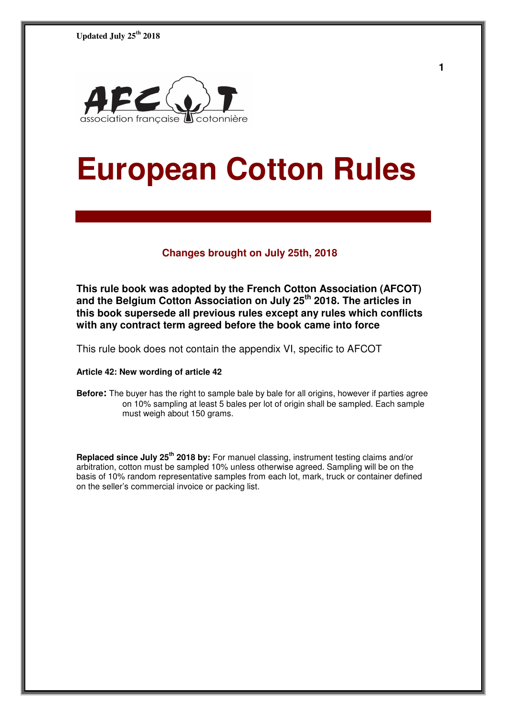

# **European Cotton Rules**

#### **Changes brought on July 25th, 2018**

**This rule book was adopted by the French Cotton Association (AFCOT) and the Belgium Cotton Association on July 25th 2018. The articles in this book supersede all previous rules except any rules which conflicts with any contract term agreed before the book came into force** 

This rule book does not contain the appendix VI, specific to AFCOT

#### **Article 42: New wording of article 42**

**Before:** The buyer has the right to sample bale by bale for all origins, however if parties agree on 10% sampling at least 5 bales per lot of origin shall be sampled. Each sample must weigh about 150 grams.

**Replaced since July 25th 2018 by:** For manuel classing, instrument testing claims and/or arbitration, cotton must be sampled 10% unless otherwise agreed. Sampling will be on the basis of 10% random representative samples from each lot, mark, truck or container defined on the seller's commercial invoice or packing list.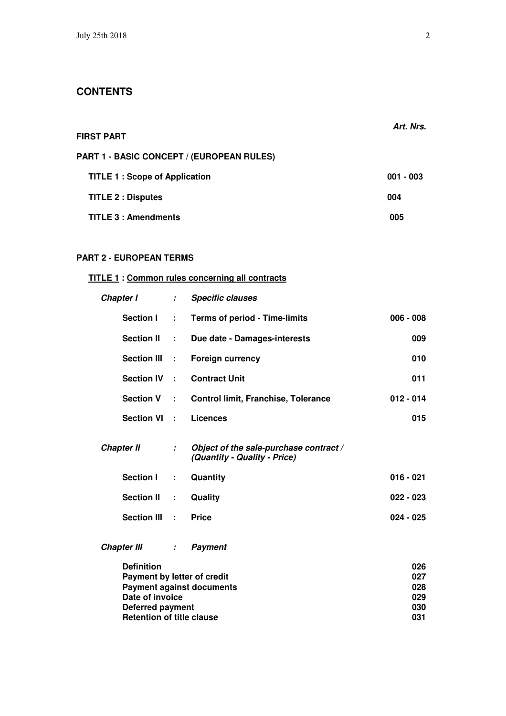| <b>FIRST PART</b>                                | Art. Nrs.   |
|--------------------------------------------------|-------------|
| <b>PART 1 - BASIC CONCEPT / (EUROPEAN RULES)</b> |             |
| <b>TITLE 1: Scope of Application</b>             | $001 - 003$ |
| <b>TITLE 2 : Disputes</b>                        | 004         |
| <b>TITLE 3: Amendments</b>                       | 005         |

# **PART 2 - EUROPEAN TERMS**

# **TITLE 1 : Common rules concerning all contracts**

| Chapter I                                        | $\mathcal{I}^{\mathcal{I}}$ | <b>Specific clauses</b>                                                |                   |
|--------------------------------------------------|-----------------------------|------------------------------------------------------------------------|-------------------|
| <b>Section I</b>                                 | $\mathbf{L}$                | <b>Terms of period - Time-limits</b>                                   | $006 - 008$       |
| <b>Section II</b>                                | $\sim$ 10                   | Due date - Damages-interests                                           | 009               |
| Section III :                                    |                             | <b>Foreign currency</b>                                                | 010               |
| Section IV :                                     |                             | <b>Contract Unit</b>                                                   | 011               |
| Section V :                                      |                             | <b>Control limit, Franchise, Tolerance</b>                             | $012 - 014$       |
| Section VI :                                     |                             | <b>Licences</b>                                                        | 015               |
| <b>Chapter II</b>                                | $\mathcal{L}$               | Object of the sale-purchase contract /<br>(Quantity - Quality - Price) |                   |
| <b>Section I</b>                                 | ÷.                          | Quantity                                                               | $016 - 021$       |
| <b>Section II</b>                                | $\sim$ 10                   | Quality                                                                | $022 - 023$       |
| Section III :                                    |                             | <b>Price</b>                                                           | $024 - 025$       |
| <b>Chapter III</b>                               | $\mathcal{L}_{\mathcal{A}}$ | <b>Payment</b>                                                         |                   |
| <b>Definition</b><br>Payment by letter of credit |                             | <b>Payment against documents</b>                                       | 026<br>027<br>028 |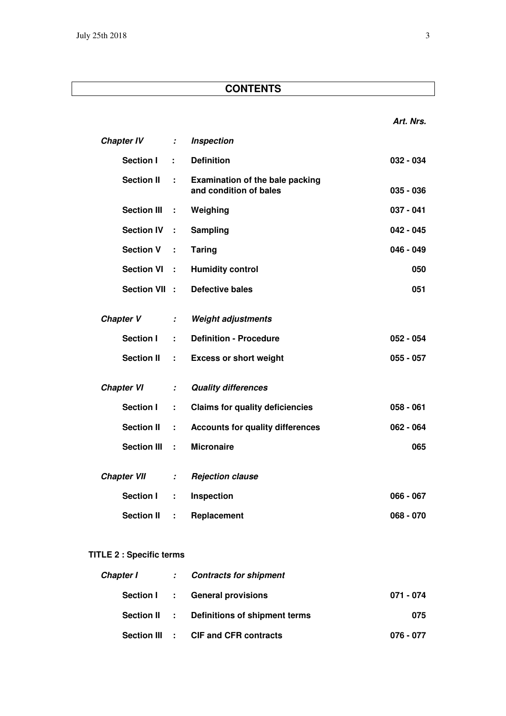| <b>Chapter IV</b>  | ÷.                          | <b>Inspection</b>                                                |             |
|--------------------|-----------------------------|------------------------------------------------------------------|-------------|
| <b>Section I</b>   | ÷                           | <b>Definition</b>                                                | $032 - 034$ |
| <b>Section II</b>  | ÷.                          | <b>Examination of the bale packing</b><br>and condition of bales | $035 - 036$ |
| <b>Section III</b> | ÷                           | Weighing                                                         | $037 - 041$ |
| <b>Section IV</b>  | ÷                           | Sampling                                                         | $042 - 045$ |
| <b>Section V</b>   | ÷                           | <b>Taring</b>                                                    | $046 - 049$ |
| <b>Section VI</b>  | ÷                           | <b>Humidity control</b>                                          | 050         |
| <b>Section VII</b> | $\mathbb{R}^2$              | <b>Defective bales</b>                                           | 051         |
| <b>Chapter V</b>   | $\mathcal I$                | <b>Weight adjustments</b>                                        |             |
| <b>Section I</b>   | ÷                           | <b>Definition - Procedure</b>                                    | $052 - 054$ |
| <b>Section II</b>  | ÷,                          | <b>Excess or short weight</b>                                    | $055 - 057$ |
| <b>Chapter VI</b>  | $\mathcal{I}^{\mathcal{I}}$ | <b>Quality differences</b>                                       |             |
| <b>Section I</b>   | ÷.                          | <b>Claims for quality deficiencies</b>                           | $058 - 061$ |
| <b>Section II</b>  | ÷                           | <b>Accounts for quality differences</b>                          | $062 - 064$ |
| <b>Section III</b> | ÷                           | <b>Micronaire</b>                                                | 065         |
| <b>Chapter VII</b> | $\mathcal{I}$               | <b>Rejection clause</b>                                          |             |
| <b>Section I</b>   | ÷                           | Inspection                                                       | $066 - 067$ |
| <b>Section II</b>  | ÷.                          | Replacement                                                      | $068 - 070$ |
|                    |                             |                                                                  |             |

# **TITLE 2 : Specific terms**

|  | Chapter I : Contracts for shipment         |           |
|--|--------------------------------------------|-----------|
|  | Section I : General provisions             | 071 - 074 |
|  | Section II : Definitions of shipment terms | 075       |
|  | Section III : CIF and CFR contracts        | 076 - 077 |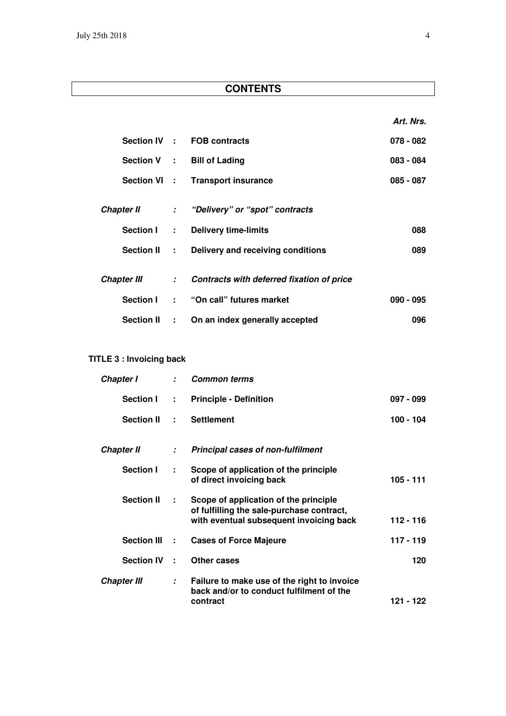**Art. Nrs.** 

|                    |                           | Section IV : FOB contracts                  | $078 - 082$ |
|--------------------|---------------------------|---------------------------------------------|-------------|
|                    |                           | Section V : Bill of Lading                  | $083 - 084$ |
|                    |                           | Section VI : Transport insurance            | $085 - 087$ |
| Chapter II         |                           | : "Delivery" or "spot" contracts            |             |
| <b>Section I</b>   | $\mathbb{Z}^{\mathbb{Z}}$ | <b>Delivery time-limits</b>                 | 088         |
| Section II :       |                           | Delivery and receiving conditions           | 089         |
| <b>Chapter III</b> |                           | : Contracts with deferred fixation of price |             |
| <b>Section I</b>   |                           | : "On call" futures market                  | $090 - 095$ |
| <b>Section II</b>  | $\mathbf{r}$              | On an index generally accepted              | 096         |

# **TITLE 3 : Invoicing back**

| Chapter I          | $\mathcal{I}^{\mathcal{I}}$ | <b>Common terms</b>                                                                                                           |             |
|--------------------|-----------------------------|-------------------------------------------------------------------------------------------------------------------------------|-------------|
| Section I          | $\mathbb{R}^{n}$            | <b>Principle - Definition</b>                                                                                                 | 097 - 099   |
| <b>Section II</b>  | $\mathbf{r}$                | <b>Settlement</b>                                                                                                             | 100 - 104   |
| <b>Chapter II</b>  | $\mathcal{L}^{\mathcal{L}}$ | <b>Principal cases of non-fulfilment</b>                                                                                      |             |
| Section I          | ÷                           | Scope of application of the principle<br>of direct invoicing back                                                             | 105 - 111   |
| <b>Section II</b>  | ÷                           | Scope of application of the principle<br>of fulfilling the sale-purchase contract,<br>with eventual subsequent invoicing back | $112 - 116$ |
| Section III :      |                             | <b>Cases of Force Majeure</b>                                                                                                 | $117 - 119$ |
| <b>Section IV</b>  | ÷                           | Other cases                                                                                                                   | 120         |
| <b>Chapter III</b> | $\mathcal{L}$               | Failure to make use of the right to invoice<br>back and/or to conduct fulfilment of the<br>contract                           | 121 - 122   |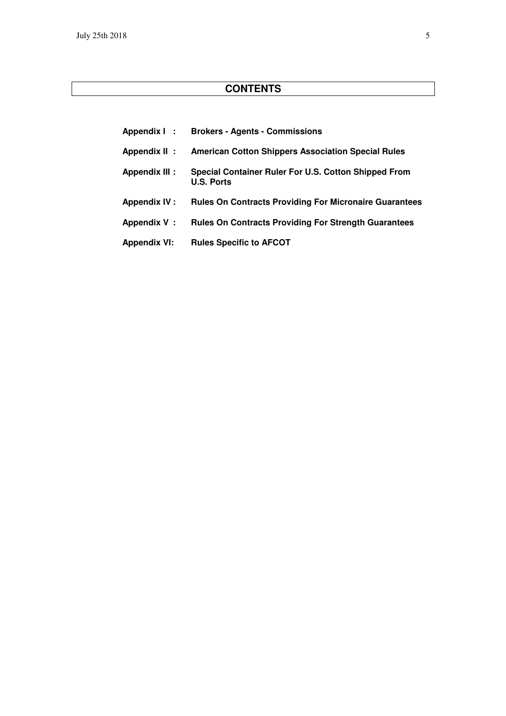| Appendix I:          | <b>Brokers - Agents - Commissions</b>                                     |
|----------------------|---------------------------------------------------------------------------|
| Appendix II:         | <b>American Cotton Shippers Association Special Rules</b>                 |
| <b>Appendix III:</b> | Special Container Ruler For U.S. Cotton Shipped From<br><b>U.S. Ports</b> |
| <b>Appendix IV:</b>  | <b>Rules On Contracts Providing For Micronaire Guarantees</b>             |
| Appendix V:          | <b>Rules On Contracts Providing For Strength Guarantees</b>               |
| <b>Appendix VI:</b>  | <b>Rules Specific to AFCOT</b>                                            |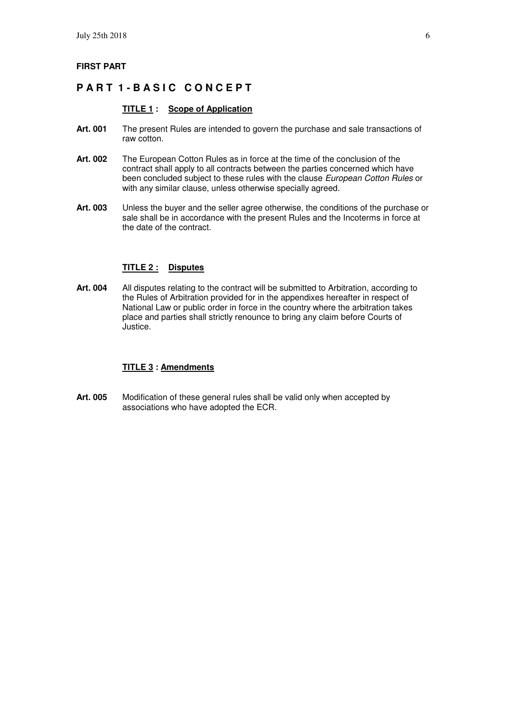#### **FIRST PART**

## **PART 1-BASIC CONCEPT**

#### **TITLE 1 : Scope of Application**

- **Art. 001** The present Rules are intended to govern the purchase and sale transactions of raw cotton.
- **Art. 002** The European Cotton Rules as in force at the time of the conclusion of the contract shall apply to all contracts between the parties concerned which have been concluded subject to these rules with the clause European Cotton Rules or with any similar clause, unless otherwise specially agreed.
- **Art. 003** Unless the buyer and the seller agree otherwise, the conditions of the purchase or sale shall be in accordance with the present Rules and the Incoterms in force at the date of the contract.

#### **TITLE 2 : Disputes**

**Art. 004** All disputes relating to the contract will be submitted to Arbitration, according to the Rules of Arbitration provided for in the appendixes hereafter in respect of National Law or public order in force in the country where the arbitration takes place and parties shall strictly renounce to bring any claim before Courts of Justice.

#### **TITLE 3 : Amendments**

**Art. 005** Modification of these general rules shall be valid only when accepted by associations who have adopted the ECR.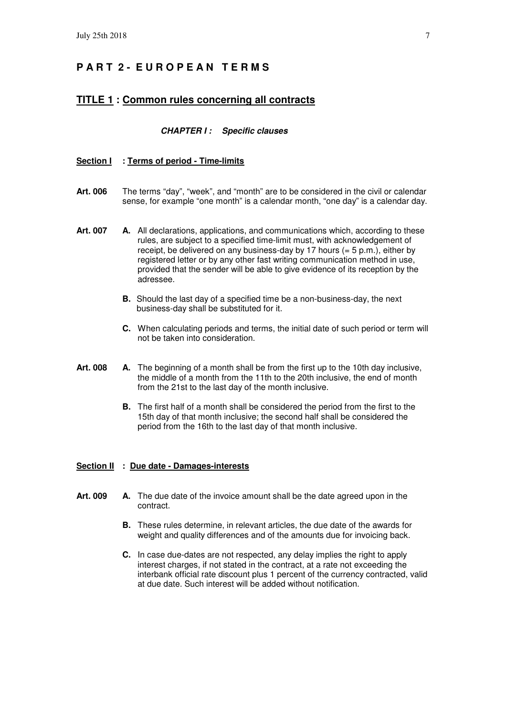# **P A R T 2 - E U R O P E A N T E R M S**

#### **TITLE 1 : Common rules concerning all contracts**

#### **CHAPTER I : Specific clauses**

#### **Section I : Terms of period - Time-limits**

- **Art. 006** The terms "day", "week", and "month" are to be considered in the civil or calendar sense, for example "one month" is a calendar month, "one day" is a calendar day.
- Art. 007 A. All declarations, applications, and communications which, according to these rules, are subject to a specified time-limit must, with acknowledgement of receipt, be delivered on any business-day by 17 hours  $(= 5 \text{ p.m.})$ , either by registered letter or by any other fast writing communication method in use, provided that the sender will be able to give evidence of its reception by the adressee.
	- **B.** Should the last day of a specified time be a non-business-day, the next business-day shall be substituted for it.
	- **C.** When calculating periods and terms, the initial date of such period or term will not be taken into consideration.
- **Art. 008 A.** The beginning of a month shall be from the first up to the 10th day inclusive, the middle of a month from the 11th to the 20th inclusive, the end of month from the 21st to the last day of the month inclusive.
	- **B.** The first half of a month shall be considered the period from the first to the 15th day of that month inclusive; the second half shall be considered the period from the 16th to the last day of that month inclusive.

#### **Section II : Due date - Damages-interests**

- **Art. 009 A.** The due date of the invoice amount shall be the date agreed upon in the contract.
	- **B.** These rules determine, in relevant articles, the due date of the awards for weight and quality differences and of the amounts due for invoicing back.
	- **C.** In case due-dates are not respected, any delay implies the right to apply interest charges, if not stated in the contract, at a rate not exceeding the interbank official rate discount plus 1 percent of the currency contracted, valid at due date. Such interest will be added without notification.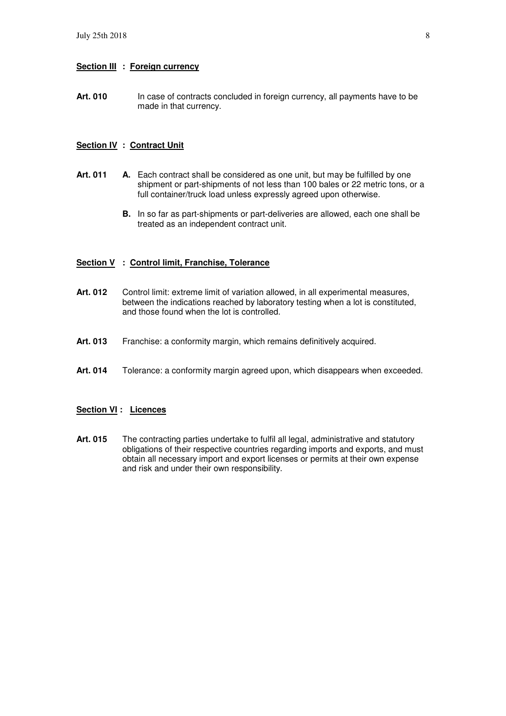#### **Section III : Foreign currency**

Art. 010 In case of contracts concluded in foreign currency, all payments have to be made in that currency.

#### **Section IV : Contract Unit**

- Art. 011 A. Each contract shall be considered as one unit, but may be fulfilled by one shipment or part-shipments of not less than 100 bales or 22 metric tons, or a full container/truck load unless expressly agreed upon otherwise.
	- **B.** In so far as part-shipments or part-deliveries are allowed, each one shall be treated as an independent contract unit.

#### **Section V : Control limit, Franchise, Tolerance**

- Art. 012 Control limit: extreme limit of variation allowed, in all experimental measures, between the indications reached by laboratory testing when a lot is constituted, and those found when the lot is controlled.
- Art. 013 Franchise: a conformity margin, which remains definitively acquired.
- **Art. 014** Tolerance: a conformity margin agreed upon, which disappears when exceeded.

#### **Section VI : Licences**

Art. 015 The contracting parties undertake to fulfil all legal, administrative and statutory obligations of their respective countries regarding imports and exports, and must obtain all necessary import and export licenses or permits at their own expense and risk and under their own responsibility.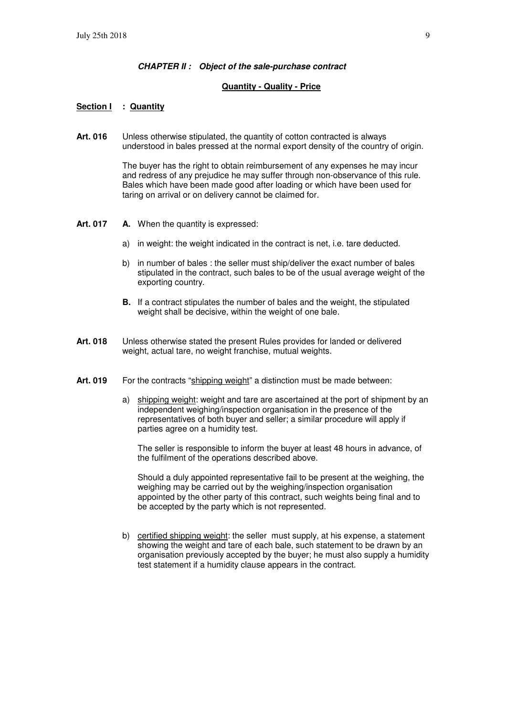#### **CHAPTER II : Object of the sale-purchase contract**

#### **Quantity - Quality - Price**

#### **Section I : Quantity**

**Art. 016** Unless otherwise stipulated, the quantity of cotton contracted is always understood in bales pressed at the normal export density of the country of origin.

> The buyer has the right to obtain reimbursement of any expenses he may incur and redress of any prejudice he may suffer through non-observance of this rule. Bales which have been made good after loading or which have been used for taring on arrival or on delivery cannot be claimed for.

- **Art. 017 A.** When the quantity is expressed:
	- a) in weight: the weight indicated in the contract is net, i.e. tare deducted.
	- b) in number of bales : the seller must ship/deliver the exact number of bales stipulated in the contract, such bales to be of the usual average weight of the exporting country.
	- **B.** If a contract stipulates the number of bales and the weight, the stipulated weight shall be decisive, within the weight of one bale.
- **Art. 018** Unless otherwise stated the present Rules provides for landed or delivered weight, actual tare, no weight franchise, mutual weights.
- Art. 019 For the contracts "shipping weight" a distinction must be made between:
	- a) shipping weight: weight and tare are ascertained at the port of shipment by an independent weighing/inspection organisation in the presence of the representatives of both buyer and seller; a similar procedure will apply if parties agree on a humidity test.

 The seller is responsible to inform the buyer at least 48 hours in advance, of the fulfilment of the operations described above.

 Should a duly appointed representative fail to be present at the weighing, the weighing may be carried out by the weighing/inspection organisation appointed by the other party of this contract, such weights being final and to be accepted by the party which is not represented.

 b) certified shipping weight: the seller must supply, at his expense, a statement showing the weight and tare of each bale, such statement to be drawn by an organisation previously accepted by the buyer; he must also supply a humidity test statement if a humidity clause appears in the contract.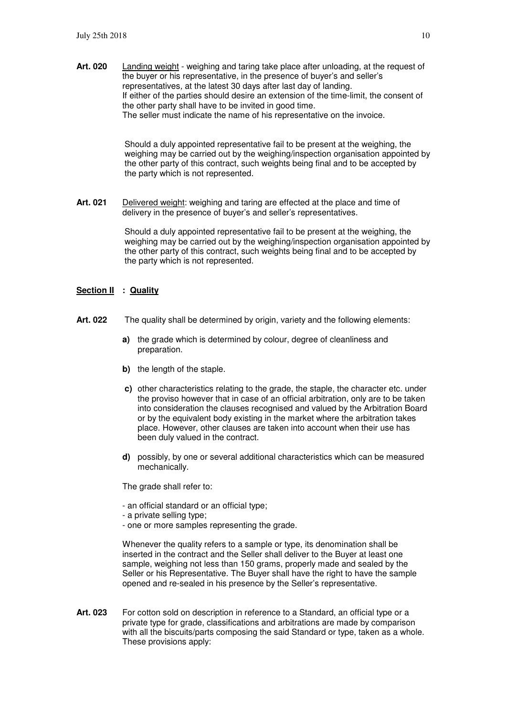**Art. 020** Landing weight - weighing and taring take place after unloading, at the request of the buyer or his representative, in the presence of buyer's and seller's representatives, at the latest 30 days after last day of landing. If either of the parties should desire an extension of the time-limit, the consent of the other party shall have to be invited in good time. The seller must indicate the name of his representative on the invoice.

> Should a duly appointed representative fail to be present at the weighing, the weighing may be carried out by the weighing/inspection organisation appointed by the other party of this contract, such weights being final and to be accepted by the party which is not represented.

**Art. 021** Delivered weight: weighing and taring are effected at the place and time of delivery in the presence of buyer's and seller's representatives.

> Should a duly appointed representative fail to be present at the weighing, the weighing may be carried out by the weighing/inspection organisation appointed by the other party of this contract, such weights being final and to be accepted by the party which is not represented.

#### **Section II : Quality**

- **Art. 022** The quality shall be determined by origin, variety and the following elements:
	- **a)** the grade which is determined by colour, degree of cleanliness and preparation.
	- **b**) the length of the staple.
	- **c)** other characteristics relating to the grade, the staple, the character etc. under the proviso however that in case of an official arbitration, only are to be taken into consideration the clauses recognised and valued by the Arbitration Board or by the equivalent body existing in the market where the arbitration takes place. However, other clauses are taken into account when their use has been duly valued in the contract.
	- **d)** possibly, by one or several additional characteristics which can be measured mechanically.

The grade shall refer to:

- an official standard or an official type;
- a private selling type;
- one or more samples representing the grade.

 Whenever the quality refers to a sample or type, its denomination shall be inserted in the contract and the Seller shall deliver to the Buyer at least one sample, weighing not less than 150 grams, properly made and sealed by the Seller or his Representative. The Buyer shall have the right to have the sample opened and re-sealed in his presence by the Seller's representative.

**Art. 023** For cotton sold on description in reference to a Standard, an official type or a private type for grade, classifications and arbitrations are made by comparison with all the biscuits/parts composing the said Standard or type, taken as a whole. These provisions apply: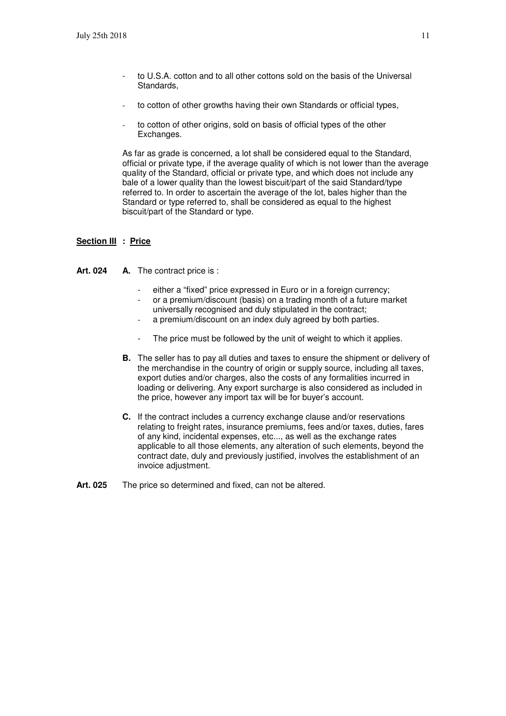- to U.S.A. cotton and to all other cottons sold on the basis of the Universal Standards,
- to cotton of other growths having their own Standards or official types,
- to cotton of other origins, sold on basis of official types of the other Exchanges.

 As far as grade is concerned, a lot shall be considered equal to the Standard, official or private type, if the average quality of which is not lower than the average quality of the Standard, official or private type, and which does not include any bale of a lower quality than the lowest biscuit/part of the said Standard/type referred to. In order to ascertain the average of the lot, bales higher than the Standard or type referred to, shall be considered as equal to the highest biscuit/part of the Standard or type.

#### **Section III : Price**

Art. 024 A. The contract price is :

- either a "fixed" price expressed in Euro or in a foreign currency;
- or a premium/discount (basis) on a trading month of a future market universally recognised and duly stipulated in the contract;
- a premium/discount on an index duly agreed by both parties.
- The price must be followed by the unit of weight to which it applies.
- **B.** The seller has to pay all duties and taxes to ensure the shipment or delivery of the merchandise in the country of origin or supply source, including all taxes, export duties and/or charges, also the costs of any formalities incurred in loading or delivering. Any export surcharge is also considered as included in the price, however any import tax will be for buyer's account.
- **C.** If the contract includes a currency exchange clause and/or reservations relating to freight rates, insurance premiums, fees and/or taxes, duties, fares of any kind, incidental expenses, etc..., as well as the exchange rates applicable to all those elements, any alteration of such elements, beyond the contract date, duly and previously justified, involves the establishment of an invoice adjustment.
- Art. 025 The price so determined and fixed, can not be altered.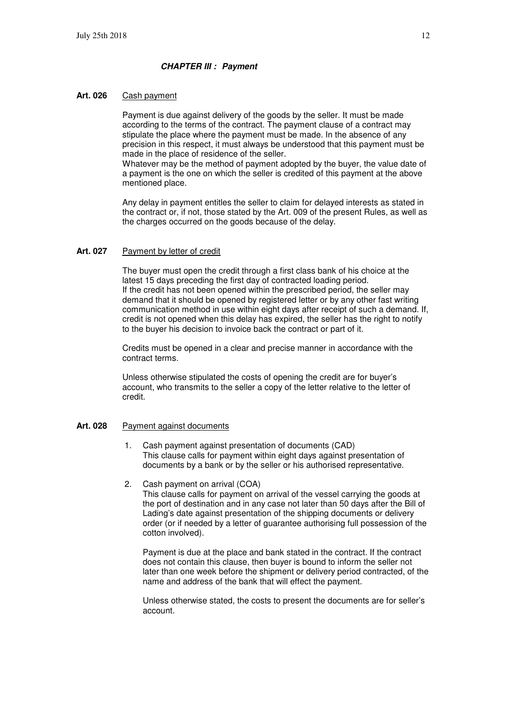#### **CHAPTER III : Payment**

#### **Art. 026** Cash payment

 Payment is due against delivery of the goods by the seller. It must be made according to the terms of the contract. The payment clause of a contract may stipulate the place where the payment must be made. In the absence of any precision in this respect, it must always be understood that this payment must be made in the place of residence of the seller.

 Whatever may be the method of payment adopted by the buyer, the value date of a payment is the one on which the seller is credited of this payment at the above mentioned place.

 Any delay in payment entitles the seller to claim for delayed interests as stated in the contract or, if not, those stated by the Art. 009 of the present Rules, as well as the charges occurred on the goods because of the delay.

#### **Art. 027** Payment by letter of credit

 The buyer must open the credit through a first class bank of his choice at the latest 15 days preceding the first day of contracted loading period. If the credit has not been opened within the prescribed period, the seller may demand that it should be opened by registered letter or by any other fast writing communication method in use within eight days after receipt of such a demand. If, credit is not opened when this delay has expired, the seller has the right to notify to the buyer his decision to invoice back the contract or part of it.

 Credits must be opened in a clear and precise manner in accordance with the contract terms.

 Unless otherwise stipulated the costs of opening the credit are for buyer's account, who transmits to the seller a copy of the letter relative to the letter of credit.

#### **Art. 028** Payment against documents

- 1. Cash payment against presentation of documents (CAD) This clause calls for payment within eight days against presentation of documents by a bank or by the seller or his authorised representative.
- 2. Cash payment on arrival (COA)

This clause calls for payment on arrival of the vessel carrying the goods at the port of destination and in any case not later than 50 days after the Bill of Lading's date against presentation of the shipping documents or delivery order (or if needed by a letter of guarantee authorising full possession of the cotton involved).

Payment is due at the place and bank stated in the contract. If the contract does not contain this clause, then buyer is bound to inform the seller not later than one week before the shipment or delivery period contracted, of the name and address of the bank that will effect the payment.

Unless otherwise stated, the costs to present the documents are for seller's account.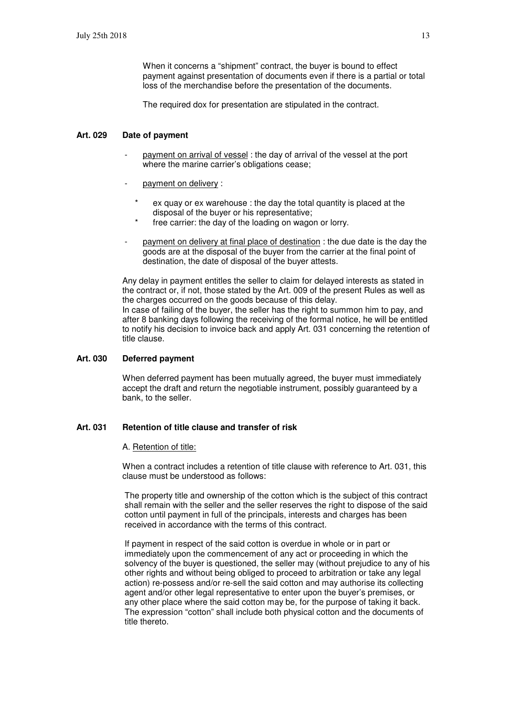When it concerns a "shipment" contract, the buyer is bound to effect payment against presentation of documents even if there is a partial or total loss of the merchandise before the presentation of the documents.

The required dox for presentation are stipulated in the contract.

#### **Art. 029 Date of payment**

- payment on arrival of vessel : the day of arrival of the vessel at the port where the marine carrier's obligations cease;
- payment on delivery :
	- ex quay or ex warehouse : the day the total quantity is placed at the disposal of the buyer or his representative;
	- free carrier: the day of the loading on wagon or lorry.
- payment on delivery at final place of destination : the due date is the day the goods are at the disposal of the buyer from the carrier at the final point of destination, the date of disposal of the buyer attests.

Any delay in payment entitles the seller to claim for delayed interests as stated in the contract or, if not, those stated by the Art. 009 of the present Rules as well as the charges occurred on the goods because of this delay. In case of failing of the buyer, the seller has the right to summon him to pay, and

after 8 banking days following the receiving of the formal notice, he will be entitled to notify his decision to invoice back and apply Art. 031 concerning the retention of title clause.

### **Art. 030 Deferred payment**

When deferred payment has been mutually agreed, the buyer must immediately accept the draft and return the negotiable instrument, possibly guaranteed by a bank, to the seller.

#### **Art. 031 Retention of title clause and transfer of risk**

#### A. Retention of title:

When a contract includes a retention of title clause with reference to Art. 031, this clause must be understood as follows:

The property title and ownership of the cotton which is the subject of this contract shall remain with the seller and the seller reserves the right to dispose of the said cotton until payment in full of the principals, interests and charges has been received in accordance with the terms of this contract.

If payment in respect of the said cotton is overdue in whole or in part or immediately upon the commencement of any act or proceeding in which the solvency of the buyer is questioned, the seller may (without prejudice to any of his other rights and without being obliged to proceed to arbitration or take any legal action) re-possess and/or re-sell the said cotton and may authorise its collecting agent and/or other legal representative to enter upon the buyer's premises, or any other place where the said cotton may be, for the purpose of taking it back. The expression "cotton" shall include both physical cotton and the documents of title thereto.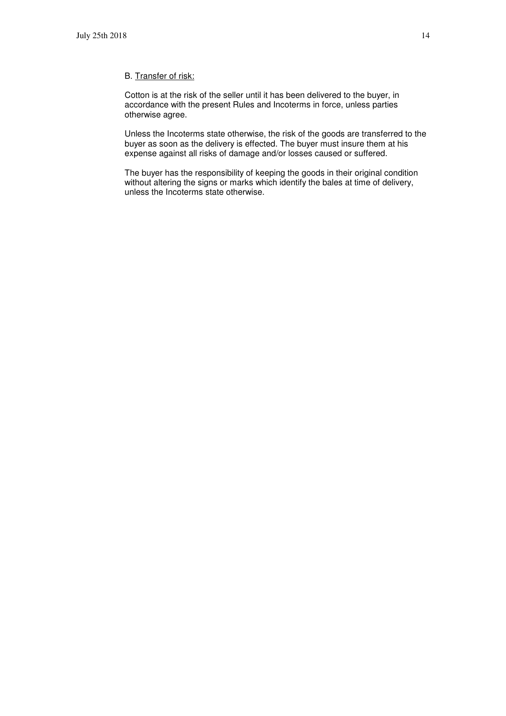#### B. Transfer of risk:

Cotton is at the risk of the seller until it has been delivered to the buyer, in accordance with the present Rules and Incoterms in force, unless parties otherwise agree.

Unless the Incoterms state otherwise, the risk of the goods are transferred to the buyer as soon as the delivery is effected. The buyer must insure them at his expense against all risks of damage and/or losses caused or suffered.

The buyer has the responsibility of keeping the goods in their original condition without altering the signs or marks which identify the bales at time of delivery, unless the Incoterms state otherwise.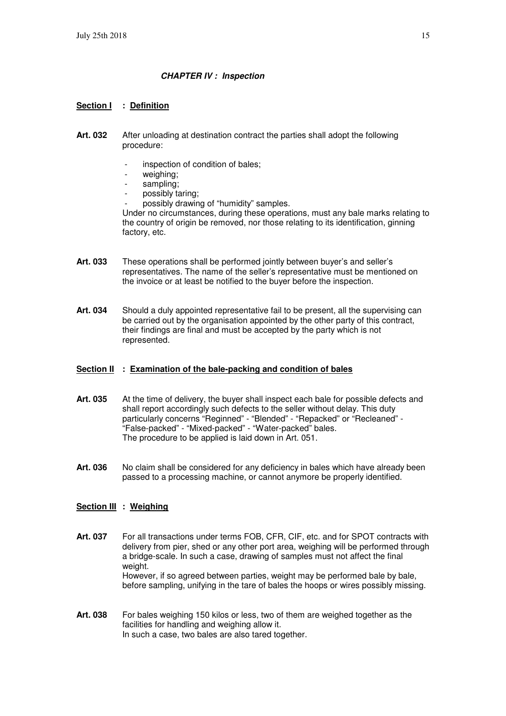#### **CHAPTER IV : Inspection**

#### **Section I : Definition**

- **Art. 032** After unloading at destination contract the parties shall adopt the following procedure:
	- inspection of condition of bales;
	- weighing:
	- sampling:
	- possibly taring;
	- possibly drawing of "humidity" samples.

Under no circumstances, during these operations, must any bale marks relating to the country of origin be removed, nor those relating to its identification, ginning factory, etc.

- **Art. 033** These operations shall be performed jointly between buyer's and seller's representatives. The name of the seller's representative must be mentioned on the invoice or at least be notified to the buyer before the inspection.
- **Art. 034** Should a duly appointed representative fail to be present, all the supervising can be carried out by the organisation appointed by the other party of this contract, their findings are final and must be accepted by the party which is not represented.

#### **Section II : Examination of the bale-packing and condition of bales**

- **Art. 035** At the time of delivery, the buyer shall inspect each bale for possible defects and shall report accordingly such defects to the seller without delay. This duty particularly concerns "Reginned" - "Blended" - "Repacked" or "Recleaned" - "False-packed" - "Mixed-packed" - "Water-packed" bales. The procedure to be applied is laid down in Art. 051.
- **Art. 036** No claim shall be considered for any deficiency in bales which have already been passed to a processing machine, or cannot anymore be properly identified.

#### **Section III : Weighing**

- **Art. 037** For all transactions under terms FOB, CFR, CIF, etc. and for SPOT contracts with delivery from pier, shed or any other port area, weighing will be performed through a bridge-scale. In such a case, drawing of samples must not affect the final weight. However, if so agreed between parties, weight may be performed bale by bale, before sampling, unifying in the tare of bales the hoops or wires possibly missing.
- **Art. 038** For bales weighing 150 kilos or less, two of them are weighed together as the facilities for handling and weighing allow it. In such a case, two bales are also tared together.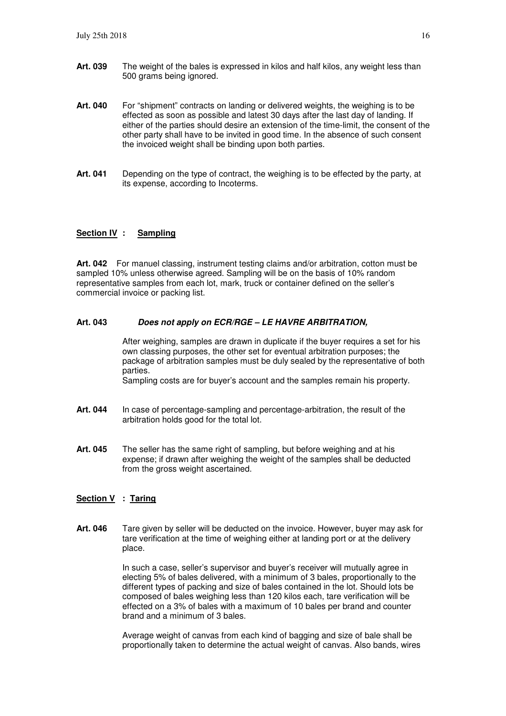- **Art. 039** The weight of the bales is expressed in kilos and half kilos, any weight less than 500 grams being ignored.
- **Art. 040** For "shipment" contracts on landing or delivered weights, the weighing is to be effected as soon as possible and latest 30 days after the last day of landing. If either of the parties should desire an extension of the time-limit, the consent of the other party shall have to be invited in good time. In the absence of such consent the invoiced weight shall be binding upon both parties.
- **Art. 041** Depending on the type of contract, the weighing is to be effected by the party, at its expense, according to Incoterms.

#### **Section IV : Sampling**

**Art. 042** For manuel classing, instrument testing claims and/or arbitration, cotton must be sampled 10% unless otherwise agreed. Sampling will be on the basis of 10% random representative samples from each lot, mark, truck or container defined on the seller's commercial invoice or packing list.

#### **Art. 043 Does not apply on ECR/RGE – LE HAVRE ARBITRATION,**

After weighing, samples are drawn in duplicate if the buyer requires a set for his own classing purposes, the other set for eventual arbitration purposes; the package of arbitration samples must be duly sealed by the representative of both parties. Sampling costs are for buyer's account and the samples remain his property.

- Art. 044 In case of percentage-sampling and percentage-arbitration, the result of the arbitration holds good for the total lot.
- **Art. 045** The seller has the same right of sampling, but before weighing and at his expense; if drawn after weighing the weight of the samples shall be deducted from the gross weight ascertained.

#### **Section V : Taring**

**Art. 046** Tare given by seller will be deducted on the invoice. However, buyer may ask for tare verification at the time of weighing either at landing port or at the delivery place.

> In such a case, seller's supervisor and buyer's receiver will mutually agree in electing 5% of bales delivered, with a minimum of 3 bales, proportionally to the different types of packing and size of bales contained in the lot. Should lots be composed of bales weighing less than 120 kilos each, tare verification will be effected on a 3% of bales with a maximum of 10 bales per brand and counter brand and a minimum of 3 bales.

 Average weight of canvas from each kind of bagging and size of bale shall be proportionally taken to determine the actual weight of canvas. Also bands, wires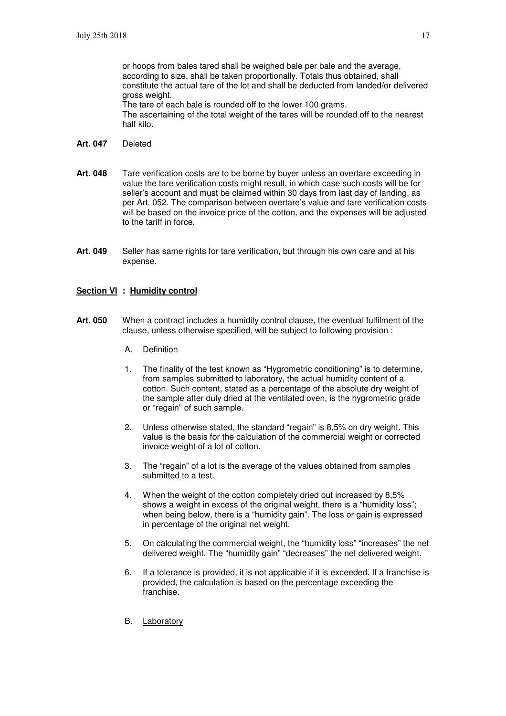or hoops from bales tared shall be weighed bale per bale and the average, according to size, shall be taken proportionally. Totals thus obtained, shall constitute the actual tare of the lot and shall be deducted from landed/or delivered gross weight. The tare of each bale is rounded off to the lower 100 grams. The ascertaining of the total weight of the tares will be rounded off to the nearest half kilo.

- **Art. 047** Deleted
- **Art. 048** Tare verification costs are to be borne by buyer unless an overtare exceeding in value the tare verification costs might result, in which case such costs will be for seller's account and must be claimed within 30 days from last day of landing, as per Art. 052. The comparison between overtare's value and tare verification costs will be based on the invoice price of the cotton, and the expenses will be adjusted to the tariff in force.
- **Art. 049** Seller has same rights for tare verification, but through his own care and at his expense.

#### **Section VI : Humidity control**

- **Art. 050** When a contract includes a humidity control clause, the eventual fulfilment of the clause, unless otherwise specified, will be subject to following provision :
	- A. Definition
	- 1. The finality of the test known as "Hygrometric conditioning" is to determine, from samples submitted to laboratory, the actual humidity content of a cotton. Such content, stated as a percentage of the absolute dry weight of the sample after duly dried at the ventilated oven, is the hygrometric grade or "regain" of such sample.
	- 2. Unless otherwise stated, the standard "regain" is 8,5% on dry weight. This value is the basis for the calculation of the commercial weight or corrected invoice weight of a lot of cotton.
	- 3. The "regain" of a lot is the average of the values obtained from samples submitted to a test.
	- 4. When the weight of the cotton completely dried out increased by 8,5% shows a weight in excess of the original weight, there is a "humidity loss"; when being below, there is a "humidity gain". The loss or gain is expressed in percentage of the original net weight.
	- 5. On calculating the commercial weight, the "humidity loss" "increases" the net delivered weight. The "humidity gain" "decreases" the net delivered weight.
	- 6. If a tolerance is provided, it is not applicable if it is exceeded. If a franchise is provided, the calculation is based on the percentage exceeding the franchise.
	- B. Laboratory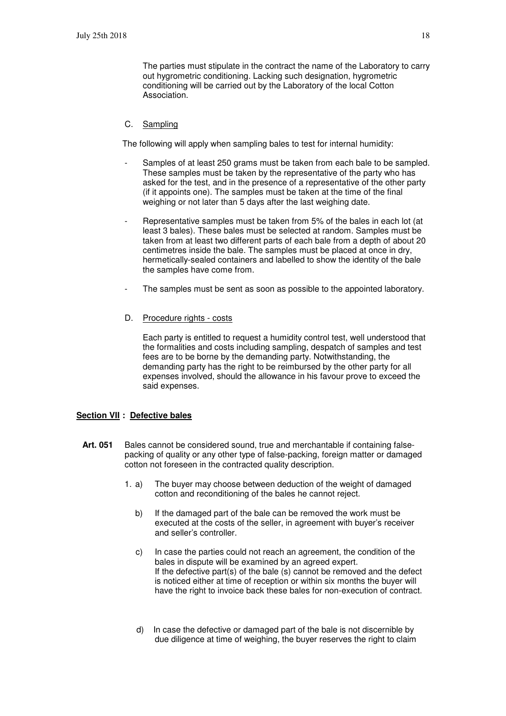The parties must stipulate in the contract the name of the Laboratory to carry out hygrometric conditioning. Lacking such designation, hygrometric conditioning will be carried out by the Laboratory of the local Cotton Association.

#### C. Sampling

The following will apply when sampling bales to test for internal humidity:

- Samples of at least 250 grams must be taken from each bale to be sampled. These samples must be taken by the representative of the party who has asked for the test, and in the presence of a representative of the other party (if it appoints one). The samples must be taken at the time of the final weighing or not later than 5 days after the last weighing date.
- Representative samples must be taken from 5% of the bales in each lot (at least 3 bales). These bales must be selected at random. Samples must be taken from at least two different parts of each bale from a depth of about 20 centimetres inside the bale. The samples must be placed at once in dry, hermetically-sealed containers and labelled to show the identity of the bale the samples have come from.
- The samples must be sent as soon as possible to the appointed laboratory.
- D. Procedure rights costs

 Each party is entitled to request a humidity control test, well understood that the formalities and costs including sampling, despatch of samples and test fees are to be borne by the demanding party. Notwithstanding, the demanding party has the right to be reimbursed by the other party for all expenses involved, should the allowance in his favour prove to exceed the said expenses.

#### **Section VII : Defective bales**

- **Art. 051** Bales cannot be considered sound, true and merchantable if containing falsepacking of quality or any other type of false-packing, foreign matter or damaged cotton not foreseen in the contracted quality description.
	- 1. a) The buyer may choose between deduction of the weight of damaged cotton and reconditioning of the bales he cannot reject.
		- b) If the damaged part of the bale can be removed the work must be executed at the costs of the seller, in agreement with buyer's receiver and seller's controller.
		- c) In case the parties could not reach an agreement, the condition of the bales in dispute will be examined by an agreed expert. If the defective part(s) of the bale (s) cannot be removed and the defect is noticed either at time of reception or within six months the buyer will have the right to invoice back these bales for non-execution of contract.
		- d) In case the defective or damaged part of the bale is not discernible by due diligence at time of weighing, the buyer reserves the right to claim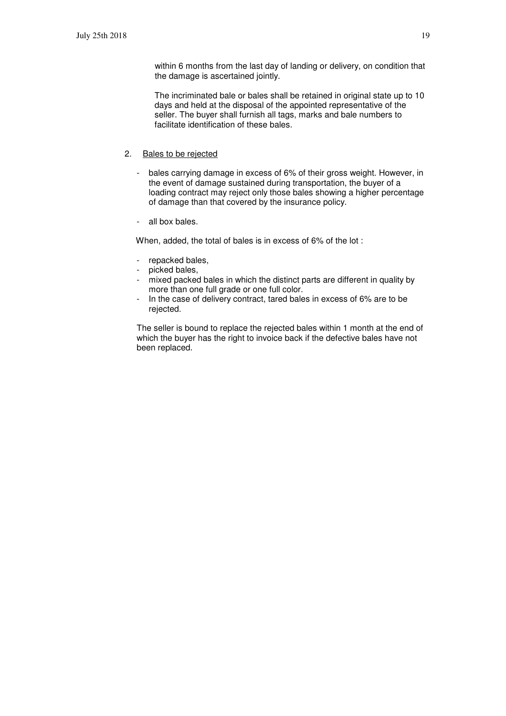within 6 months from the last day of landing or delivery, on condition that the damage is ascertained jointly.

The incriminated bale or bales shall be retained in original state up to 10 days and held at the disposal of the appointed representative of the seller. The buyer shall furnish all tags, marks and bale numbers to facilitate identification of these bales.

#### 2. Bales to be rejected

- bales carrying damage in excess of 6% of their gross weight. However, in the event of damage sustained during transportation, the buyer of a loading contract may reject only those bales showing a higher percentage of damage than that covered by the insurance policy.
- all box bales.

When, added, the total of bales is in excess of 6% of the lot :

- repacked bales,
- picked bales,
- mixed packed bales in which the distinct parts are different in quality by more than one full grade or one full color.
- In the case of delivery contract, tared bales in excess of 6% are to be rejected.

The seller is bound to replace the rejected bales within 1 month at the end of which the buyer has the right to invoice back if the defective bales have not been replaced.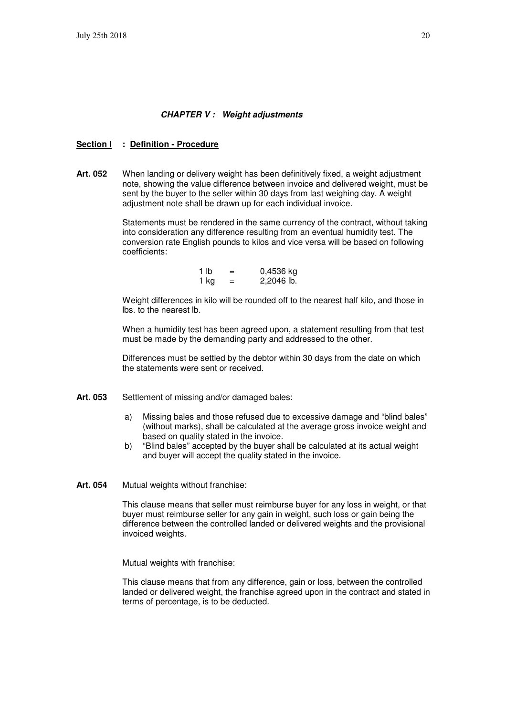#### **CHAPTER V : Weight adjustments**

#### **Section I : Definition - Procedure**

**Art. 052** When landing or delivery weight has been definitively fixed, a weight adjustment note, showing the value difference between invoice and delivered weight, must be sent by the buyer to the seller within 30 days from last weighing day. A weight adjustment note shall be drawn up for each individual invoice.

> Statements must be rendered in the same currency of the contract, without taking into consideration any difference resulting from an eventual humidity test. The conversion rate English pounds to kilos and vice versa will be based on following coefficients:

| 1 lb | $\overline{\phantom{0}}$<br>$\overline{\phantom{0}}$ | 0,4536 kg  |
|------|------------------------------------------------------|------------|
| 1 ka |                                                      | 2,2046 lb. |

 Weight differences in kilo will be rounded off to the nearest half kilo, and those in lbs. to the nearest lb.

 When a humidity test has been agreed upon, a statement resulting from that test must be made by the demanding party and addressed to the other.

 Differences must be settled by the debtor within 30 days from the date on which the statements were sent or received.

- Art. 053 Settlement of missing and/or damaged bales:
	- a) Missing bales and those refused due to excessive damage and "blind bales" (without marks), shall be calculated at the average gross invoice weight and based on quality stated in the invoice.
	- b) "Blind bales" accepted by the buyer shall be calculated at its actual weight and buyer will accept the quality stated in the invoice.
- **Art. 054** Mutual weights without franchise:

 This clause means that seller must reimburse buyer for any loss in weight, or that buyer must reimburse seller for any gain in weight, such loss or gain being the difference between the controlled landed or delivered weights and the provisional invoiced weights.

Mutual weights with franchise:

 This clause means that from any difference, gain or loss, between the controlled landed or delivered weight, the franchise agreed upon in the contract and stated in terms of percentage, is to be deducted.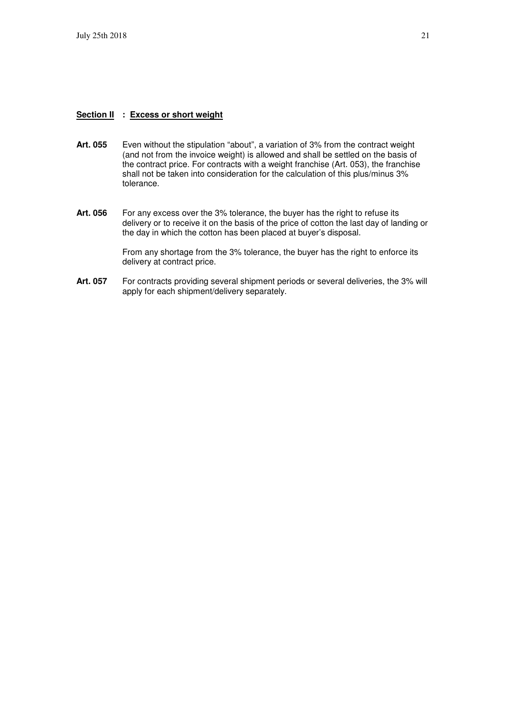#### **Section II : Excess or short weight**

- **Art. 055** Even without the stipulation "about", a variation of 3% from the contract weight (and not from the invoice weight) is allowed and shall be settled on the basis of the contract price. For contracts with a weight franchise (Art. 053), the franchise shall not be taken into consideration for the calculation of this plus/minus 3% tolerance.
- **Art. 056** For any excess over the 3% tolerance, the buyer has the right to refuse its delivery or to receive it on the basis of the price of cotton the last day of landing or the day in which the cotton has been placed at buyer's disposal.

 From any shortage from the 3% tolerance, the buyer has the right to enforce its delivery at contract price.

**Art. 057** For contracts providing several shipment periods or several deliveries, the 3% will apply for each shipment/delivery separately.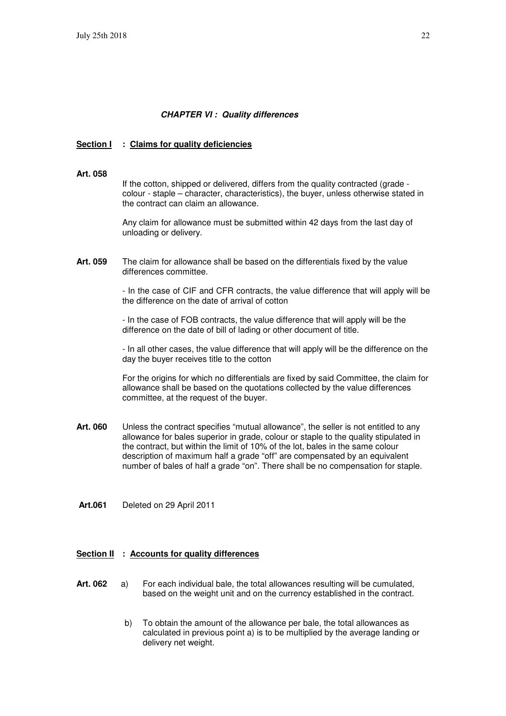#### **CHAPTER VI : Quality differences**

#### **Section I** : Claims for quality deficiencies

**Art. 058**

If the cotton, shipped or delivered, differs from the quality contracted (grade colour - staple – character, characteristics), the buyer, unless otherwise stated in the contract can claim an allowance.

 Any claim for allowance must be submitted within 42 days from the last day of unloading or delivery.

**Art. 059** The claim for allowance shall be based on the differentials fixed by the value differences committee.

> - In the case of CIF and CFR contracts, the value difference that will apply will be the difference on the date of arrival of cotton

- In the case of FOB contracts, the value difference that will apply will be the difference on the date of bill of lading or other document of title.

- In all other cases, the value difference that will apply will be the difference on the day the buyer receives title to the cotton

For the origins for which no differentials are fixed by said Committee, the claim for allowance shall be based on the quotations collected by the value differences committee, at the request of the buyer.

- **Art. 060** Unless the contract specifies "mutual allowance", the seller is not entitled to any allowance for bales superior in grade, colour or staple to the quality stipulated in the contract, but within the limit of 10% of the lot, bales in the same colour description of maximum half a grade "off" are compensated by an equivalent number of bales of half a grade "on". There shall be no compensation for staple.
- **Art.061** Deleted on 29 April 2011

#### **Section II : Accounts for quality differences**

- **Art. 062** a) For each individual bale, the total allowances resulting will be cumulated, based on the weight unit and on the currency established in the contract.
	- b) To obtain the amount of the allowance per bale, the total allowances as calculated in previous point a) is to be multiplied by the average landing or delivery net weight.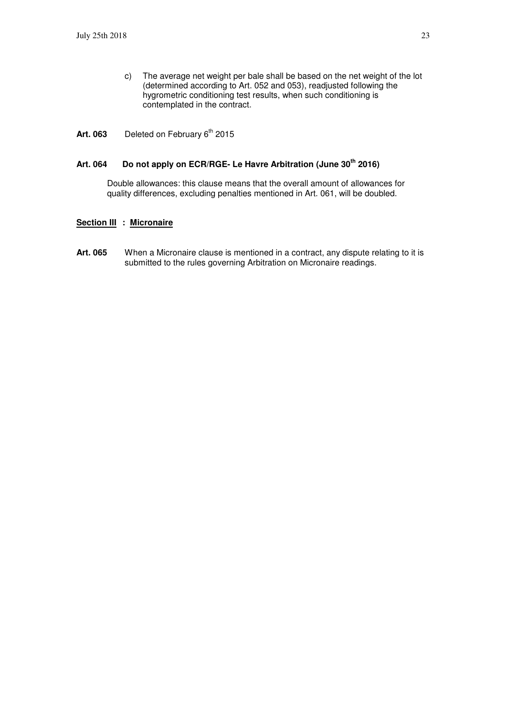- c) The average net weight per bale shall be based on the net weight of the lot (determined according to Art. 052 and 053), readjusted following the hygrometric conditioning test results, when such conditioning is contemplated in the contract.
- Art. 063 Deleted on February 6<sup>th</sup> 2015

# **Art. 064 Do not apply on ECR/RGE- Le Havre Arbitration (June 30th 2016)**

Double allowances: this clause means that the overall amount of allowances for quality differences, excluding penalties mentioned in Art. 061, will be doubled.

#### **Section III : Micronaire**

**Art. 065** When a Micronaire clause is mentioned in a contract, any dispute relating to it is submitted to the rules governing Arbitration on Micronaire readings.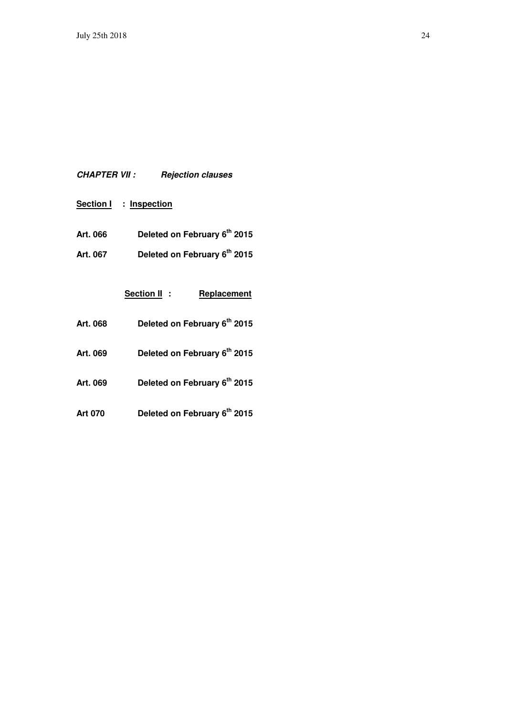# **CHAPTER VII : Rejection clauses**

- **Section I : Inspection**
- **Art. 066 Deleted on February 6th 2015**
- **Art. 067 Deleted on February 6th 2015**

|                | Section II:<br>Replacement   |
|----------------|------------------------------|
| Art. 068       | Deleted on February 6th 2015 |
| Art. 069       | Deleted on February 6th 2015 |
| Art. 069       | Deleted on February 6th 2015 |
| <b>Art 070</b> | Deleted on February 6th 2015 |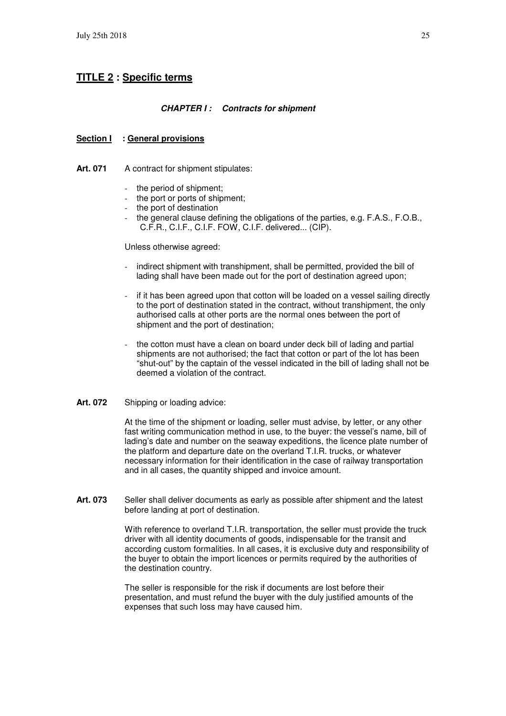# **TITLE 2 : Specific terms**

#### **CHAPTER I : Contracts for shipment**

#### **Section I : General provisions**

Art. 071 A contract for shipment stipulates:

- the period of shipment;
- the port or ports of shipment:
- the port of destination
- the general clause defining the obligations of the parties, e.g. F.A.S., F.O.B., C.F.R., C.I.F., C.I.F. FOW, C.I.F. delivered... (CIP).

#### Unless otherwise agreed:

- indirect shipment with transhipment, shall be permitted, provided the bill of lading shall have been made out for the port of destination agreed upon;
- if it has been agreed upon that cotton will be loaded on a vessel sailing directly to the port of destination stated in the contract, without transhipment, the only authorised calls at other ports are the normal ones between the port of shipment and the port of destination;
- the cotton must have a clean on board under deck bill of lading and partial shipments are not authorised; the fact that cotton or part of the lot has been "shut-out" by the captain of the vessel indicated in the bill of lading shall not be deemed a violation of the contract.

#### **Art. 072** Shipping or loading advice:

 At the time of the shipment or loading, seller must advise, by letter, or any other fast writing communication method in use, to the buyer: the vessel's name, bill of lading's date and number on the seaway expeditions, the licence plate number of the platform and departure date on the overland T.I.R. trucks, or whatever necessary information for their identification in the case of railway transportation and in all cases, the quantity shipped and invoice amount.

Art. 073 Seller shall deliver documents as early as possible after shipment and the latest before landing at port of destination.

> With reference to overland T.I.R. transportation, the seller must provide the truck driver with all identity documents of goods, indispensable for the transit and according custom formalities. In all cases, it is exclusive duty and responsibility of the buyer to obtain the import licences or permits required by the authorities of the destination country.

 The seller is responsible for the risk if documents are lost before their presentation, and must refund the buyer with the duly justified amounts of the expenses that such loss may have caused him.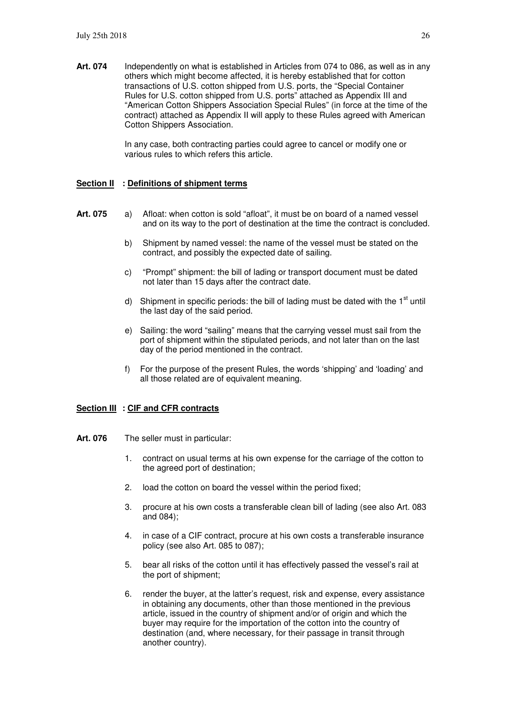**Art. 074** Independently on what is established in Articles from 074 to 086, as well as in any others which might become affected, it is hereby established that for cotton transactions of U.S. cotton shipped from U.S. ports, the "Special Container Rules for U.S. cotton shipped from U.S. ports" attached as Appendix III and "American Cotton Shippers Association Special Rules" (in force at the time of the contract) attached as Appendix II will apply to these Rules agreed with American Cotton Shippers Association.

> In any case, both contracting parties could agree to cancel or modify one or various rules to which refers this article.

#### **Section II : Definitions of shipment terms**

- **Art. 075** a) Afloat: when cotton is sold "afloat", it must be on board of a named vessel and on its way to the port of destination at the time the contract is concluded.
	- b) Shipment by named vessel: the name of the vessel must be stated on the contract, and possibly the expected date of sailing.
	- c) "Prompt" shipment: the bill of lading or transport document must be dated not later than 15 days after the contract date.
	- d) Shipment in specific periods: the bill of lading must be dated with the  $1<sup>st</sup>$  until the last day of the said period.
	- e) Sailing: the word "sailing" means that the carrying vessel must sail from the port of shipment within the stipulated periods, and not later than on the last day of the period mentioned in the contract.
	- f) For the purpose of the present Rules, the words 'shipping' and 'loading' and all those related are of equivalent meaning.

#### **Section III : CIF and CFR contracts**

- Art. 076 The seller must in particular:
	- 1. contract on usual terms at his own expense for the carriage of the cotton to the agreed port of destination;
	- 2. load the cotton on board the vessel within the period fixed;
	- 3. procure at his own costs a transferable clean bill of lading (see also Art. 083 and 084);
	- 4. in case of a CIF contract, procure at his own costs a transferable insurance policy (see also Art. 085 to 087);
	- 5. bear all risks of the cotton until it has effectively passed the vessel's rail at the port of shipment;
	- 6. render the buyer, at the latter's request, risk and expense, every assistance in obtaining any documents, other than those mentioned in the previous article, issued in the country of shipment and/or of origin and which the buyer may require for the importation of the cotton into the country of destination (and, where necessary, for their passage in transit through another country).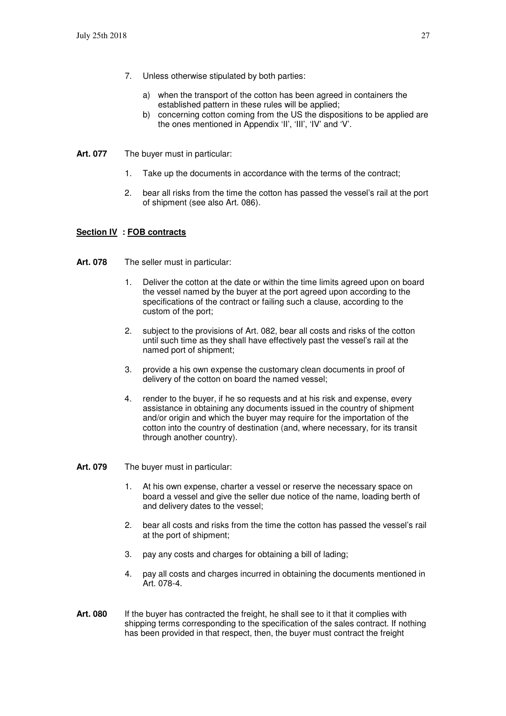- 7. Unless otherwise stipulated by both parties:
	- a) when the transport of the cotton has been agreed in containers the established pattern in these rules will be applied;
	- b) concerning cotton coming from the US the dispositions to be applied are the ones mentioned in Appendix 'II', 'III', 'IV' and 'V'.
- **Art. 077** The buyer must in particular:
	- 1. Take up the documents in accordance with the terms of the contract;
	- 2. bear all risks from the time the cotton has passed the vessel's rail at the port of shipment (see also Art. 086).

#### **Section IV : FOB contracts**

- **Art. 078** The seller must in particular:
	- 1. Deliver the cotton at the date or within the time limits agreed upon on board the vessel named by the buyer at the port agreed upon according to the specifications of the contract or failing such a clause, according to the custom of the port;
	- 2. subject to the provisions of Art. 082, bear all costs and risks of the cotton until such time as they shall have effectively past the vessel's rail at the named port of shipment;
	- 3. provide a his own expense the customary clean documents in proof of delivery of the cotton on board the named vessel;
	- 4. render to the buyer, if he so requests and at his risk and expense, every assistance in obtaining any documents issued in the country of shipment and/or origin and which the buyer may require for the importation of the cotton into the country of destination (and, where necessary, for its transit through another country).
- **Art. 079** The buyer must in particular:
	- 1. At his own expense, charter a vessel or reserve the necessary space on board a vessel and give the seller due notice of the name, loading berth of and delivery dates to the vessel;
	- 2. bear all costs and risks from the time the cotton has passed the vessel's rail at the port of shipment;
	- 3. pay any costs and charges for obtaining a bill of lading;
	- 4. pay all costs and charges incurred in obtaining the documents mentioned in Art. 078-4.
- Art. 080 If the buyer has contracted the freight, he shall see to it that it complies with shipping terms corresponding to the specification of the sales contract. If nothing has been provided in that respect, then, the buyer must contract the freight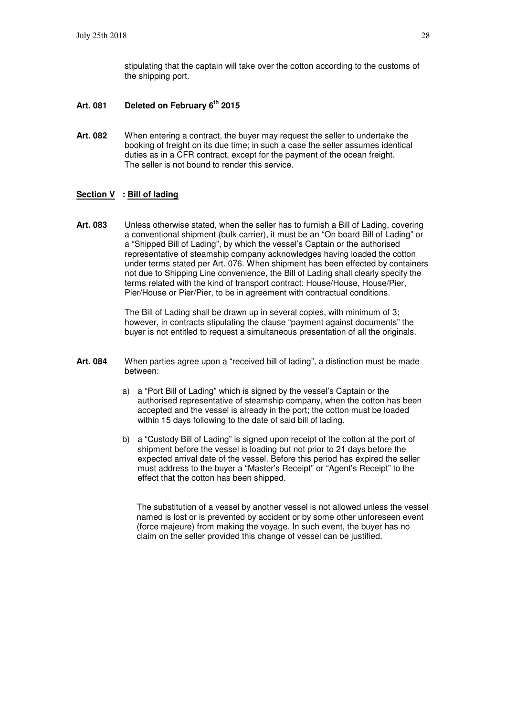stipulating that the captain will take over the cotton according to the customs of the shipping port.

- **Art. 081 Deleted on February 6th 2015**
- **Art. 082** When entering a contract, the buyer may request the seller to undertake the booking of freight on its due time; in such a case the seller assumes identical duties as in a CFR contract, except for the payment of the ocean freight. The seller is not bound to render this service.

#### **Section V** : Bill of lading

**Art. 083** Unless otherwise stated, when the seller has to furnish a Bill of Lading, covering a conventional shipment (bulk carrier), it must be an "On board Bill of Lading" or a "Shipped Bill of Lading", by which the vessel's Captain or the authorised representative of steamship company acknowledges having loaded the cotton under terms stated per Art. 076. When shipment has been effected by containers not due to Shipping Line convenience, the Bill of Lading shall clearly specify the terms related with the kind of transport contract: House/House, House/Pier, Pier/House or Pier/Pier, to be in agreement with contractual conditions.

> The Bill of Lading shall be drawn up in several copies, with minimum of 3; however, in contracts stipulating the clause "payment against documents" the buyer is not entitled to request a simultaneous presentation of all the originals.

- **Art. 084** When parties agree upon a "received bill of lading", a distinction must be made between:
	- a) a "Port Bill of Lading" which is signed by the vessel's Captain or the authorised representative of steamship company, when the cotton has been accepted and the vessel is already in the port; the cotton must be loaded within 15 days following to the date of said bill of lading.
	- b) a "Custody Bill of Lading" is signed upon receipt of the cotton at the port of shipment before the vessel is loading but not prior to 21 days before the expected arrival date of the vessel. Before this period has expired the seller must address to the buyer a "Master's Receipt" or "Agent's Receipt" to the effect that the cotton has been shipped.

The substitution of a vessel by another vessel is not allowed unless the vessel named is lost or is prevented by accident or by some other unforeseen event (force majeure) from making the voyage. In such event, the buyer has no claim on the seller provided this change of vessel can be justified.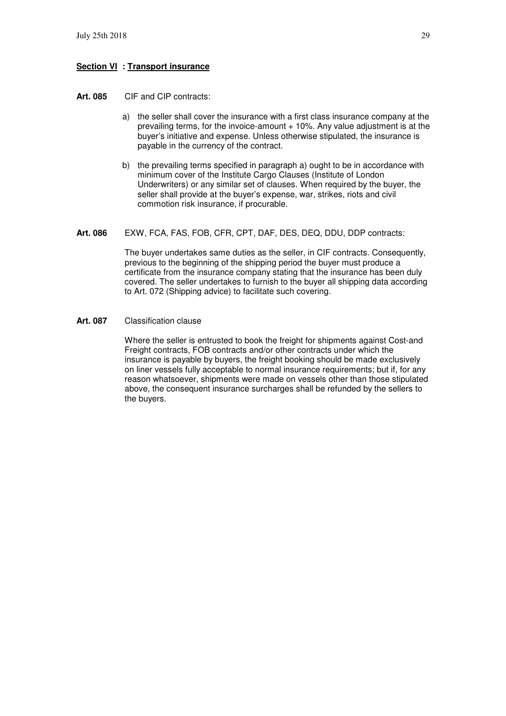#### **Section VI : Transport insurance**

- **Art. 085** CIF and CIP contracts:
	- a) the seller shall cover the insurance with a first class insurance company at the prevailing terms, for the invoice-amount  $+10\%$ . Any value adjustment is at the buyer's initiative and expense. Unless otherwise stipulated, the insurance is payable in the currency of the contract.
	- b) the prevailing terms specified in paragraph a) ought to be in accordance with minimum cover of the Institute Cargo Clauses (Institute of London Underwriters) or any similar set of clauses. When required by the buyer, the seller shall provide at the buyer's expense, war, strikes, riots and civil commotion risk insurance, if procurable.
- **Art. 086** EXW, FCA, FAS, FOB, CFR, CPT, DAF, DES, DEQ, DDU, DDP contracts:

The buyer undertakes same duties as the seller, in CIF contracts. Consequently, previous to the beginning of the shipping period the buyer must produce a certificate from the insurance company stating that the insurance has been duly covered. The seller undertakes to furnish to the buyer all shipping data according to Art. 072 (Shipping advice) to facilitate such covering.

**Art. 087** Classification clause

Where the seller is entrusted to book the freight for shipments against Cost-and Freight contracts, FOB contracts and/or other contracts under which the insurance is payable by buyers, the freight booking should be made exclusively on liner vessels fully acceptable to normal insurance requirements; but if, for any reason whatsoever, shipments were made on vessels other than those stipulated above, the consequent insurance surcharges shall be refunded by the sellers to the buyers.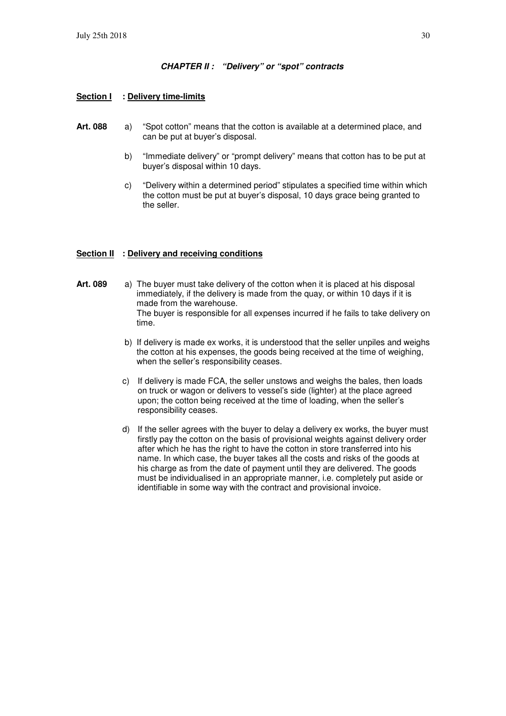#### **CHAPTER II : "Delivery" or "spot" contracts**

#### **Section I : Delivery time-limits**

- **Art. 088** a) "Spot cotton" means that the cotton is available at a determined place, and can be put at buyer's disposal.
	- b) "Immediate delivery" or "prompt delivery" means that cotton has to be put at buyer's disposal within 10 days.
	- c) "Delivery within a determined period" stipulates a specified time within which the cotton must be put at buyer's disposal, 10 days grace being granted to the seller.

#### **Section II : Delivery and receiving conditions**

- **Art. 089** a) The buyer must take delivery of the cotton when it is placed at his disposal immediately, if the delivery is made from the quay, or within 10 days if it is made from the warehouse. The buyer is responsible for all expenses incurred if he fails to take delivery on time.
	- b) If delivery is made ex works, it is understood that the seller unpiles and weighs the cotton at his expenses, the goods being received at the time of weighing, when the seller's responsibility ceases.
	- c) If delivery is made FCA, the seller unstows and weighs the bales, then loads on truck or wagon or delivers to vessel's side (lighter) at the place agreed upon; the cotton being received at the time of loading, when the seller's responsibility ceases.
	- d) If the seller agrees with the buyer to delay a delivery ex works, the buyer must firstly pay the cotton on the basis of provisional weights against delivery order after which he has the right to have the cotton in store transferred into his name. In which case, the buyer takes all the costs and risks of the goods at his charge as from the date of payment until they are delivered. The goods must be individualised in an appropriate manner, i.e. completely put aside or identifiable in some way with the contract and provisional invoice.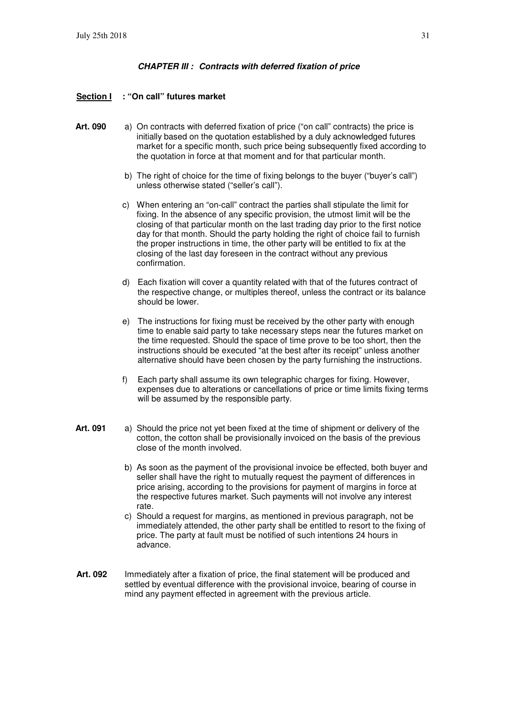#### **CHAPTER III : Contracts with deferred fixation of price**

#### **Section I : "On call" futures market**

- **Art. 090** a) On contracts with deferred fixation of price ("on call" contracts) the price is initially based on the quotation established by a duly acknowledged futures market for a specific month, such price being subsequently fixed according to the quotation in force at that moment and for that particular month.
	- b) The right of choice for the time of fixing belongs to the buyer ("buyer's call") unless otherwise stated ("seller's call").
	- c) When entering an "on-call" contract the parties shall stipulate the limit for fixing. In the absence of any specific provision, the utmost limit will be the closing of that particular month on the last trading day prior to the first notice day for that month. Should the party holding the right of choice fail to furnish the proper instructions in time, the other party will be entitled to fix at the closing of the last day foreseen in the contract without any previous confirmation.
	- d) Each fixation will cover a quantity related with that of the futures contract of the respective change, or multiples thereof, unless the contract or its balance should be lower.
	- e) The instructions for fixing must be received by the other party with enough time to enable said party to take necessary steps near the futures market on the time requested. Should the space of time prove to be too short, then the instructions should be executed "at the best after its receipt" unless another alternative should have been chosen by the party furnishing the instructions.
	- f) Each party shall assume its own telegraphic charges for fixing. However, expenses due to alterations or cancellations of price or time limits fixing terms will be assumed by the responsible party.
- **Art. 091** a) Should the price not yet been fixed at the time of shipment or delivery of the cotton, the cotton shall be provisionally invoiced on the basis of the previous close of the month involved.
	- b) As soon as the payment of the provisional invoice be effected, both buyer and seller shall have the right to mutually request the payment of differences in price arising, according to the provisions for payment of margins in force at the respective futures market. Such payments will not involve any interest rate.
	- c) Should a request for margins, as mentioned in previous paragraph, not be immediately attended, the other party shall be entitled to resort to the fixing of price. The party at fault must be notified of such intentions 24 hours in advance.
- **Art. 092** Immediately after a fixation of price, the final statement will be produced and settled by eventual difference with the provisional invoice, bearing of course in mind any payment effected in agreement with the previous article.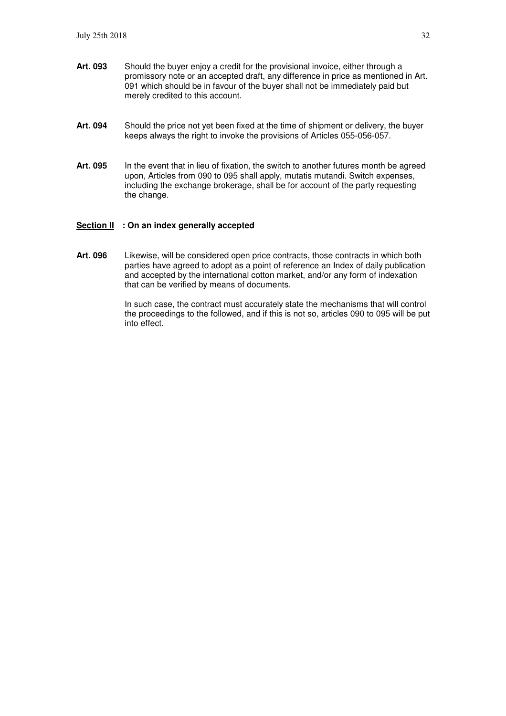- **Art. 093** Should the buyer enjoy a credit for the provisional invoice, either through a promissory note or an accepted draft, any difference in price as mentioned in Art. 091 which should be in favour of the buyer shall not be immediately paid but merely credited to this account.
- Art. 094 Should the price not yet been fixed at the time of shipment or delivery, the buyer keeps always the right to invoke the provisions of Articles 055-056-057.
- Art. 095 In the event that in lieu of fixation, the switch to another futures month be agreed upon, Articles from 090 to 095 shall apply, mutatis mutandi. Switch expenses, including the exchange brokerage, shall be for account of the party requesting the change.

#### **Section II : On an index generally accepted**

**Art. 096** Likewise, will be considered open price contracts, those contracts in which both parties have agreed to adopt as a point of reference an Index of daily publication and accepted by the international cotton market, and/or any form of indexation that can be verified by means of documents.

> In such case, the contract must accurately state the mechanisms that will control the proceedings to the followed, and if this is not so, articles 090 to 095 will be put into effect.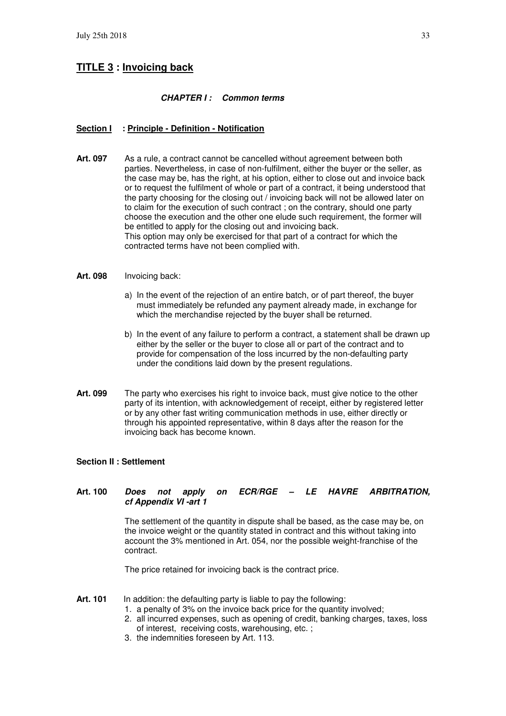# **TITLE 3 : Invoicing back**

#### **CHAPTER I : Common terms**

#### **Section I : Principle - Definition - Notification**

**Art. 097** As a rule, a contract cannot be cancelled without agreement between both parties. Nevertheless, in case of non-fulfilment, either the buyer or the seller, as the case may be, has the right, at his option, either to close out and invoice back or to request the fulfilment of whole or part of a contract, it being understood that the party choosing for the closing out / invoicing back will not be allowed later on to claim for the execution of such contract ; on the contrary, should one party choose the execution and the other one elude such requirement, the former will be entitled to apply for the closing out and invoicing back. This option may only be exercised for that part of a contract for which the contracted terms have not been complied with.

#### **Art. 098** Invoicing back:

- a) In the event of the rejection of an entire batch, or of part thereof, the buyer must immediately be refunded any payment already made, in exchange for which the merchandise rejected by the buyer shall be returned.
- b) In the event of any failure to perform a contract, a statement shall be drawn up either by the seller or the buyer to close all or part of the contract and to provide for compensation of the loss incurred by the non-defaulting party under the conditions laid down by the present regulations.
- **Art. 099** The party who exercises his right to invoice back, must give notice to the other party of its intention, with acknowledgement of receipt, either by registered letter or by any other fast writing communication methods in use, either directly or through his appointed representative, within 8 days after the reason for the invoicing back has become known.

#### **Section II : Settlement**

#### **Art. 100 Does not apply on ECR/RGE – LE HAVRE ARBITRATION, cf Appendix VI -art 1**

The settlement of the quantity in dispute shall be based, as the case may be, on the invoice weight or the quantity stated in contract and this without taking into account the 3% mentioned in Art. 054, nor the possible weight-franchise of the contract.

The price retained for invoicing back is the contract price.

- Art. 101 In addition: the defaulting party is liable to pay the following:
	- 1. a penalty of 3% on the invoice back price for the quantity involved;
	- 2. all incurred expenses, such as opening of credit, banking charges, taxes, loss of interest, receiving costs, warehousing, etc. ;
	- 3. the indemnities foreseen by Art. 113.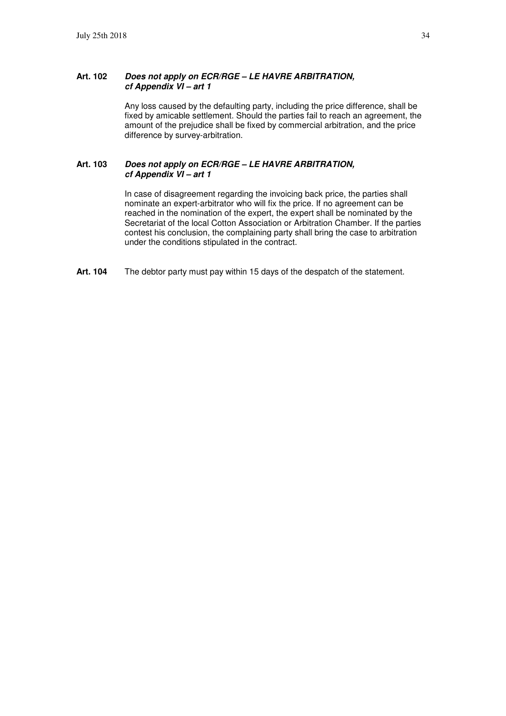#### **Art. 102 Does not apply on ECR/RGE – LE HAVRE ARBITRATION, cf Appendix VI – art 1**

Any loss caused by the defaulting party, including the price difference, shall be fixed by amicable settlement. Should the parties fail to reach an agreement, the amount of the prejudice shall be fixed by commercial arbitration, and the price difference by survey-arbitration.

#### **Art. 103 Does not apply on ECR/RGE – LE HAVRE ARBITRATION, cf Appendix VI – art 1**

In case of disagreement regarding the invoicing back price, the parties shall nominate an expert-arbitrator who will fix the price. If no agreement can be reached in the nomination of the expert, the expert shall be nominated by the Secretariat of the local Cotton Association or Arbitration Chamber. If the parties contest his conclusion, the complaining party shall bring the case to arbitration under the conditions stipulated in the contract.

**Art. 104** The debtor party must pay within 15 days of the despatch of the statement.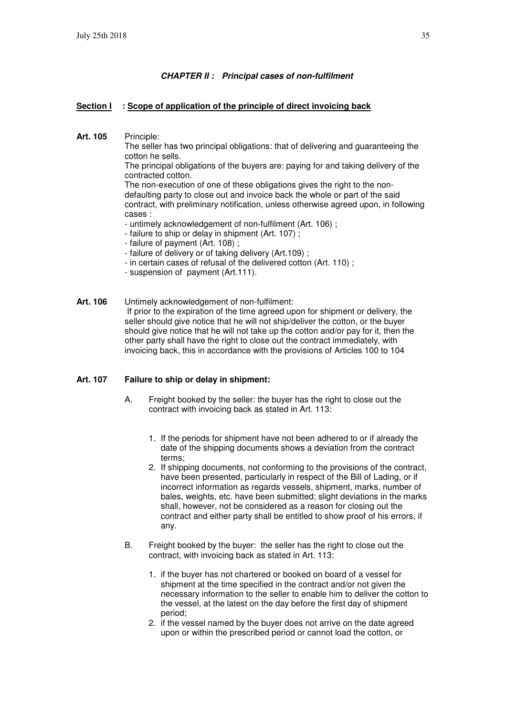#### **CHAPTER II : Principal cases of non-fulfilment**

#### **Section I** : Scope of application of the principle of direct invoicing back

**Art. 105** Principle:

The seller has two principal obligations: that of delivering and guaranteeing the cotton he sells.

The principal obligations of the buyers are: paying for and taking delivery of the contracted cotton.

The non-execution of one of these obligations gives the right to the nondefaulting party to close out and invoice back the whole or part of the said contract, with preliminary notification, unless otherwise agreed upon, in following cases :

- untimely acknowledgement of non-fulfilment (Art. 106) ;
- failure to ship or delay in shipment (Art. 107) ;
- failure of payment (Art. 108) ;
- failure of delivery or of taking delivery (Art.109) ;
- in certain cases of refusal of the delivered cotton (Art. 110) ;
- suspension of payment (Art.111).
- **Art. 106** Untimely acknowledgement of non-fulfilment: If prior to the expiration of the time agreed upon for shipment or delivery, the seller should give notice that he will not ship/deliver the cotton, or the buyer should give notice that he will not take up the cotton and/or pay for it, then the other party shall have the right to close out the contract immediately, with invoicing back, this in accordance with the provisions of Articles 100 to 104

#### **Art. 107 Failure to ship or delay in shipment:**

- A. Freight booked by the seller: the buyer has the right to close out the contract with invoicing back as stated in Art. 113:
	- 1. If the periods for shipment have not been adhered to or if already the date of the shipping documents shows a deviation from the contract terms;
	- 2. If shipping documents, not conforming to the provisions of the contract, have been presented, particularly in respect of the Bill of Lading, or if incorrect information as regards vessels, shipment, marks, number of bales, weights, etc. have been submitted; slight deviations in the marks shall, however, not be considered as a reason for closing out the contract and either party shall be entitled to show proof of his errors, if any.
- B. Freight booked by the buyer: the seller has the right to close out the contract, with invoicing back as stated in Art. 113:
	- 1. if the buyer has not chartered or booked on board of a vessel for shipment at the time specified in the contract and/or not given the necessary information to the seller to enable him to deliver the cotton to the vessel, at the latest on the day before the first day of shipment period;
	- 2. if the vessel named by the buyer does not arrive on the date agreed upon or within the prescribed period or cannot load the cotton, or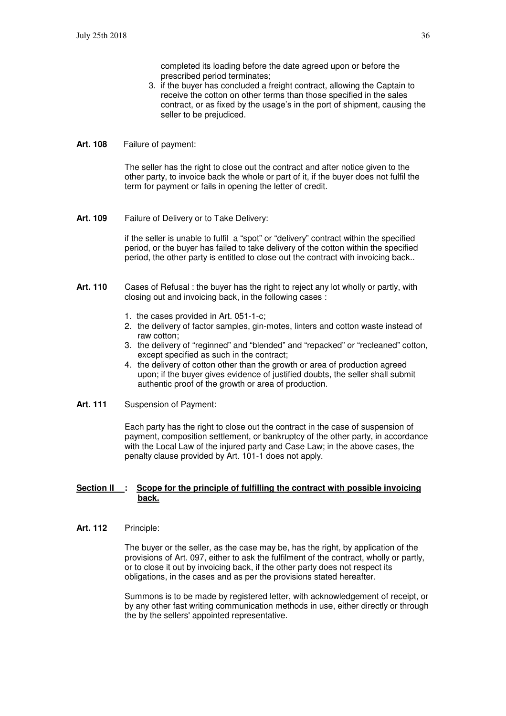completed its loading before the date agreed upon or before the prescribed period terminates;

- 3. if the buyer has concluded a freight contract, allowing the Captain to receive the cotton on other terms than those specified in the sales contract, or as fixed by the usage's in the port of shipment, causing the seller to be prejudiced.
- **Art. 108** Failure of payment:

The seller has the right to close out the contract and after notice given to the other party, to invoice back the whole or part of it, if the buyer does not fulfil the term for payment or fails in opening the letter of credit.

**Art. 109** Failure of Delivery or to Take Delivery:

if the seller is unable to fulfil a "spot" or "delivery" contract within the specified period, or the buyer has failed to take delivery of the cotton within the specified period, the other party is entitled to close out the contract with invoicing back..

- **Art. 110** Cases of Refusal : the buyer has the right to reject any lot wholly or partly, with closing out and invoicing back, in the following cases :
	- 1. the cases provided in Art. 051-1-c;
	- 2. the delivery of factor samples, gin-motes, linters and cotton waste instead of raw cotton;
	- 3. the delivery of "reginned" and "blended" and "repacked" or "recleaned" cotton, except specified as such in the contract;
	- 4. the delivery of cotton other than the growth or area of production agreed upon; if the buyer gives evidence of justified doubts, the seller shall submit authentic proof of the growth or area of production.
- **Art. 111** Suspension of Payment:

Each party has the right to close out the contract in the case of suspension of payment, composition settlement, or bankruptcy of the other party, in accordance with the Local Law of the injured party and Case Law; in the above cases, the penalty clause provided by Art. 101-1 does not apply.

#### **<u>Section II : Scope for the principle of fulfilling the contract with possible invoicing</u> back.**

**Art. 112** Principle:

The buyer or the seller, as the case may be, has the right, by application of the provisions of Art. 097, either to ask the fulfilment of the contract, wholly or partly, or to close it out by invoicing back, if the other party does not respect its obligations, in the cases and as per the provisions stated hereafter.

Summons is to be made by registered letter, with acknowledgement of receipt, or by any other fast writing communication methods in use, either directly or through the by the sellers' appointed representative.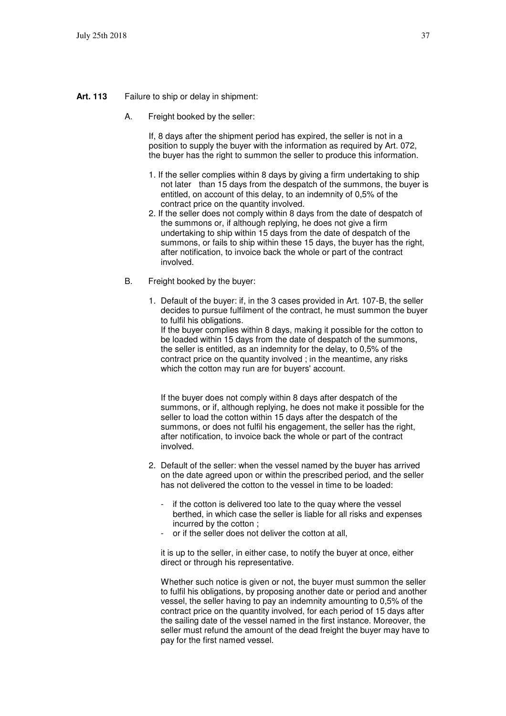#### **Art. 113** Failure to ship or delay in shipment:

A. Freight booked by the seller:

If, 8 days after the shipment period has expired, the seller is not in a position to supply the buyer with the information as required by Art. 072, the buyer has the right to summon the seller to produce this information.

- 1. If the seller complies within 8 days by giving a firm undertaking to ship not later than 15 days from the despatch of the summons, the buyer is entitled, on account of this delay, to an indemnity of 0,5% of the contract price on the quantity involved.
- 2. If the seller does not comply within 8 days from the date of despatch of the summons or, if although replying, he does not give a firm undertaking to ship within 15 days from the date of despatch of the summons, or fails to ship within these 15 days, the buyer has the right, after notification, to invoice back the whole or part of the contract involved.
- B. Freight booked by the buyer:
	- 1. Default of the buyer: if, in the 3 cases provided in Art. 107-B, the seller decides to pursue fulfilment of the contract, he must summon the buyer to fulfil his obligations. If the buyer complies within 8 days, making it possible for the cotton to be loaded within 15 days from the date of despatch of the summons, the seller is entitled, as an indemnity for the delay, to 0,5% of the contract price on the quantity involved ; in the meantime, any risks which the cotton may run are for buyers' account.

If the buyer does not comply within 8 days after despatch of the summons, or if, although replying, he does not make it possible for the seller to load the cotton within 15 days after the despatch of the summons, or does not fulfil his engagement, the seller has the right, after notification, to invoice back the whole or part of the contract involved.

- 2. Default of the seller: when the vessel named by the buyer has arrived on the date agreed upon or within the prescribed period, and the seller has not delivered the cotton to the vessel in time to be loaded:
	- if the cotton is delivered too late to the quay where the vessel berthed, in which case the seller is liable for all risks and expenses incurred by the cotton ;
	- or if the seller does not deliver the cotton at all.

it is up to the seller, in either case, to notify the buyer at once, either direct or through his representative.

Whether such notice is given or not, the buyer must summon the seller to fulfil his obligations, by proposing another date or period and another vessel, the seller having to pay an indemnity amounting to 0,5% of the contract price on the quantity involved, for each period of 15 days after the sailing date of the vessel named in the first instance. Moreover, the seller must refund the amount of the dead freight the buyer may have to pay for the first named vessel.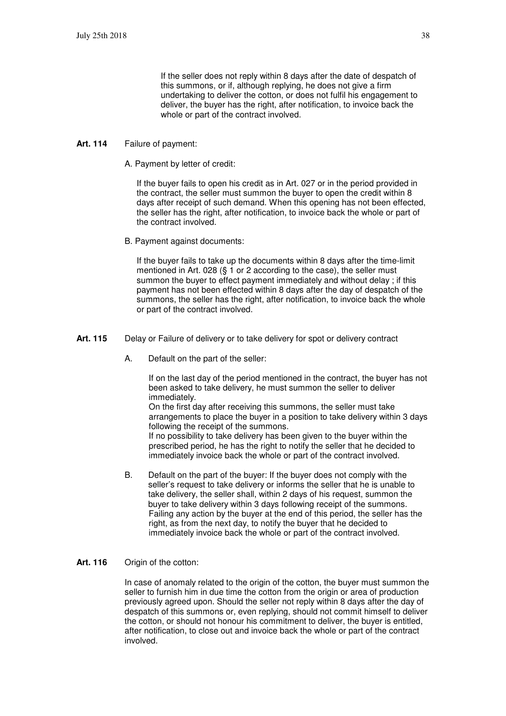If the seller does not reply within 8 days after the date of despatch of this summons, or if, although replying, he does not give a firm undertaking to deliver the cotton, or does not fulfil his engagement to deliver, the buyer has the right, after notification, to invoice back the whole or part of the contract involved.

#### **Art. 114** Failure of payment:

A. Payment by letter of credit:

If the buyer fails to open his credit as in Art. 027 or in the period provided in the contract, the seller must summon the buyer to open the credit within 8 days after receipt of such demand. When this opening has not been effected, the seller has the right, after notification, to invoice back the whole or part of the contract involved.

B. Payment against documents:

If the buyer fails to take up the documents within 8 days after the time-limit mentioned in Art. 028 (§ 1 or 2 according to the case), the seller must summon the buyer to effect payment immediately and without delay ; if this payment has not been effected within 8 days after the day of despatch of the summons, the seller has the right, after notification, to invoice back the whole or part of the contract involved.

- **Art. 115** Delay or Failure of delivery or to take delivery for spot or delivery contract
	- A. Default on the part of the seller:

If on the last day of the period mentioned in the contract, the buyer has not been asked to take delivery, he must summon the seller to deliver immediately.

On the first day after receiving this summons, the seller must take arrangements to place the buyer in a position to take delivery within 3 days following the receipt of the summons.

If no possibility to take delivery has been given to the buyer within the prescribed period, he has the right to notify the seller that he decided to immediately invoice back the whole or part of the contract involved.

B. Default on the part of the buyer: If the buyer does not comply with the seller's request to take delivery or informs the seller that he is unable to take delivery, the seller shall, within 2 days of his request, summon the buyer to take delivery within 3 days following receipt of the summons. Failing any action by the buyer at the end of this period, the seller has the right, as from the next day, to notify the buyer that he decided to immediately invoice back the whole or part of the contract involved.

#### **Art. 116** Origin of the cotton:

In case of anomaly related to the origin of the cotton, the buyer must summon the seller to furnish him in due time the cotton from the origin or area of production previously agreed upon. Should the seller not reply within 8 days after the day of despatch of this summons or, even replying, should not commit himself to deliver the cotton, or should not honour his commitment to deliver, the buyer is entitled, after notification, to close out and invoice back the whole or part of the contract involved.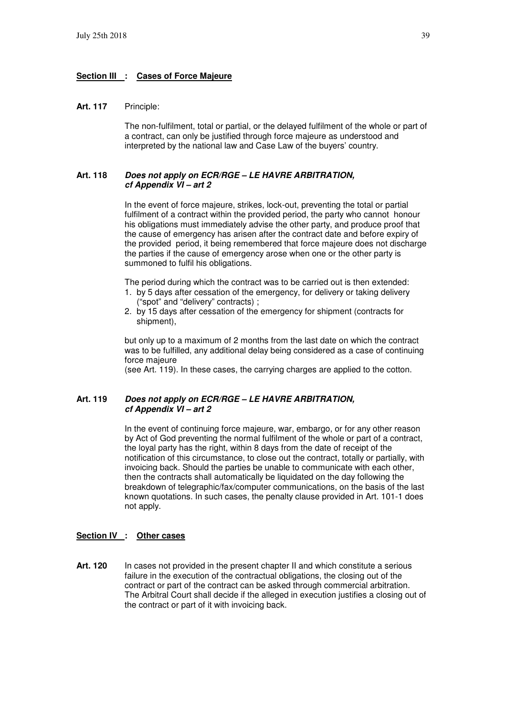#### **Section III : Cases of Force Majeure**

#### **Art. 117** Principle:

The non-fulfilment, total or partial, or the delayed fulfilment of the whole or part of a contract, can only be justified through force majeure as understood and interpreted by the national law and Case Law of the buyers' country.

#### **Art. 118 Does not apply on ECR/RGE – LE HAVRE ARBITRATION, cf Appendix VI – art 2**

In the event of force majeure, strikes, lock-out, preventing the total or partial fulfilment of a contract within the provided period, the party who cannot honour his obligations must immediately advise the other party, and produce proof that the cause of emergency has arisen after the contract date and before expiry of the provided period, it being remembered that force majeure does not discharge the parties if the cause of emergency arose when one or the other party is summoned to fulfil his obligations.

The period during which the contract was to be carried out is then extended:

- 1. by 5 days after cessation of the emergency, for delivery or taking delivery ("spot" and "delivery" contracts) ;
- 2. by 15 days after cessation of the emergency for shipment (contracts for shipment),

but only up to a maximum of 2 months from the last date on which the contract was to be fulfilled, any additional delay being considered as a case of continuing force majeure

(see Art. 119). In these cases, the carrying charges are applied to the cotton.

#### **Art. 119 Does not apply on ECR/RGE – LE HAVRE ARBITRATION, cf Appendix VI – art 2**

In the event of continuing force majeure, war, embargo, or for any other reason by Act of God preventing the normal fulfilment of the whole or part of a contract, the loyal party has the right, within 8 days from the date of receipt of the notification of this circumstance, to close out the contract, totally or partially, with invoicing back. Should the parties be unable to communicate with each other, then the contracts shall automatically be liquidated on the day following the breakdown of telegraphic/fax/computer communications, on the basis of the last known quotations. In such cases, the penalty clause provided in Art. 101-1 does not apply.

#### **Section IV : Other cases**

**Art. 120** In cases not provided in the present chapter II and which constitute a serious failure in the execution of the contractual obligations, the closing out of the contract or part of the contract can be asked through commercial arbitration. The Arbitral Court shall decide if the alleged in execution justifies a closing out of the contract or part of it with invoicing back.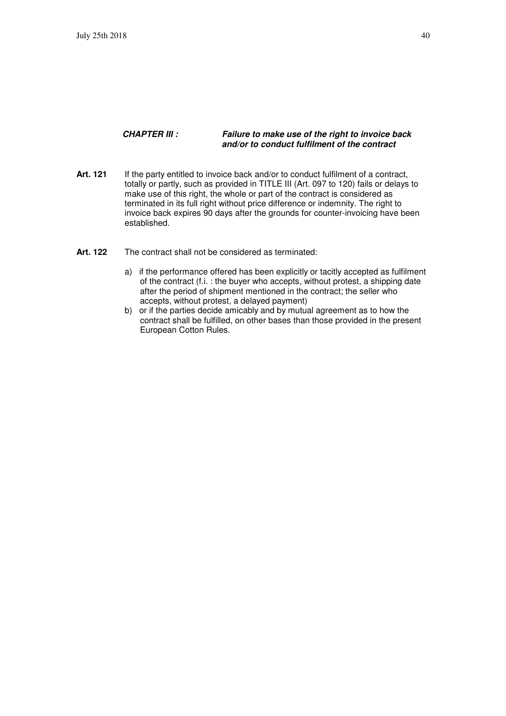#### **CHAPTER III : Failure to make use of the right to invoice back and/or to conduct fulfilment of the contract**

- **Art. 121** If the party entitled to invoice back and/or to conduct fulfilment of a contract, totally or partly, such as provided in TITLE III (Art. 097 to 120) fails or delays to make use of this right, the whole or part of the contract is considered as terminated in its full right without price difference or indemnity. The right to invoice back expires 90 days after the grounds for counter-invoicing have been established.
- Art. 122 The contract shall not be considered as terminated:
	- a) if the performance offered has been explicitly or tacitly accepted as fulfilment of the contract (f.i. : the buyer who accepts, without protest, a shipping date after the period of shipment mentioned in the contract; the seller who accepts, without protest, a delayed payment)
	- b) or if the parties decide amicably and by mutual agreement as to how the contract shall be fulfilled, on other bases than those provided in the present European Cotton Rules.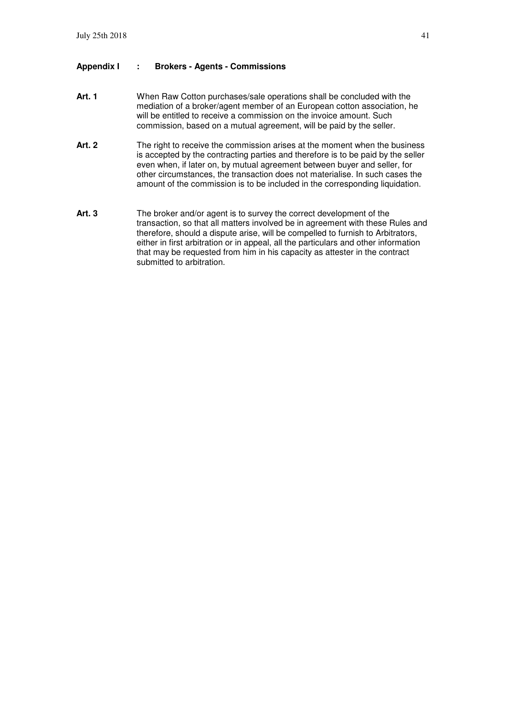#### **Appendix I : Brokers - Agents - Commissions**

- **Art. 1** When Raw Cotton purchases/sale operations shall be concluded with the mediation of a broker/agent member of an European cotton association, he will be entitled to receive a commission on the invoice amount. Such commission, based on a mutual agreement, will be paid by the seller.
- Art. 2 The right to receive the commission arises at the moment when the business is accepted by the contracting parties and therefore is to be paid by the seller even when, if later on, by mutual agreement between buyer and seller, for other circumstances, the transaction does not materialise. In such cases the amount of the commission is to be included in the corresponding liquidation.
- **Art. 3** The broker and/or agent is to survey the correct development of the transaction, so that all matters involved be in agreement with these Rules and therefore, should a dispute arise, will be compelled to furnish to Arbitrators, either in first arbitration or in appeal, all the particulars and other information that may be requested from him in his capacity as attester in the contract submitted to arbitration.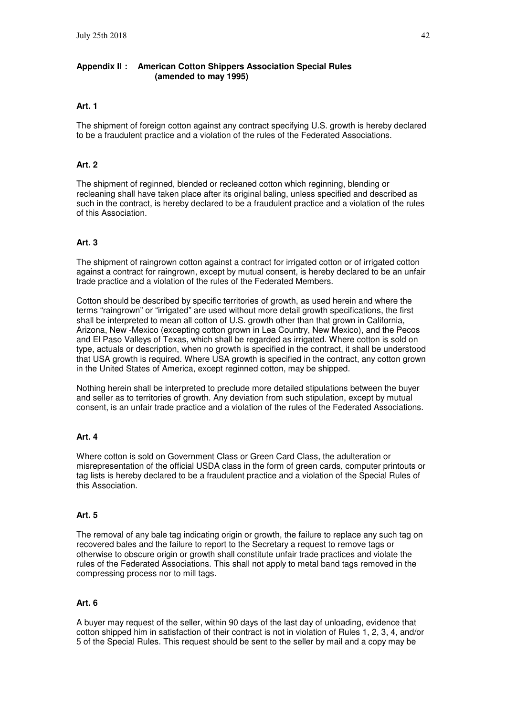#### **Appendix II : American Cotton Shippers Association Special Rules (amended to may 1995)**

#### **Art. 1**

The shipment of foreign cotton against any contract specifying U.S. growth is hereby declared to be a fraudulent practice and a violation of the rules of the Federated Associations.

#### **Art. 2**

The shipment of reginned, blended or recleaned cotton which reginning, blending or recleaning shall have taken place after its original baling, unless specified and described as such in the contract, is hereby declared to be a fraudulent practice and a violation of the rules of this Association.

#### **Art. 3**

The shipment of raingrown cotton against a contract for irrigated cotton or of irrigated cotton against a contract for raingrown, except by mutual consent, is hereby declared to be an unfair trade practice and a violation of the rules of the Federated Members.

Cotton should be described by specific territories of growth, as used herein and where the terms "raingrown" or "irrigated" are used without more detail growth specifications, the first shall be interpreted to mean all cotton of U.S. growth other than that grown in California, Arizona, New -Mexico (excepting cotton grown in Lea Country, New Mexico), and the Pecos and El Paso Valleys of Texas, which shall be regarded as irrigated. Where cotton is sold on type, actuals or description, when no growth is specified in the contract, it shall be understood that USA growth is required. Where USA growth is specified in the contract, any cotton grown in the United States of America, except reginned cotton, may be shipped.

Nothing herein shall be interpreted to preclude more detailed stipulations between the buyer and seller as to territories of growth. Any deviation from such stipulation, except by mutual consent, is an unfair trade practice and a violation of the rules of the Federated Associations.

#### **Art. 4**

Where cotton is sold on Government Class or Green Card Class, the adulteration or misrepresentation of the official USDA class in the form of green cards, computer printouts or tag lists is hereby declared to be a fraudulent practice and a violation of the Special Rules of this Association.

#### **Art. 5**

The removal of any bale tag indicating origin or growth, the failure to replace any such tag on recovered bales and the failure to report to the Secretary a request to remove tags or otherwise to obscure origin or growth shall constitute unfair trade practices and violate the rules of the Federated Associations. This shall not apply to metal band tags removed in the compressing process nor to mill tags.

#### **Art. 6**

A buyer may request of the seller, within 90 days of the last day of unloading, evidence that cotton shipped him in satisfaction of their contract is not in violation of Rules 1, 2, 3, 4, and/or 5 of the Special Rules. This request should be sent to the seller by mail and a copy may be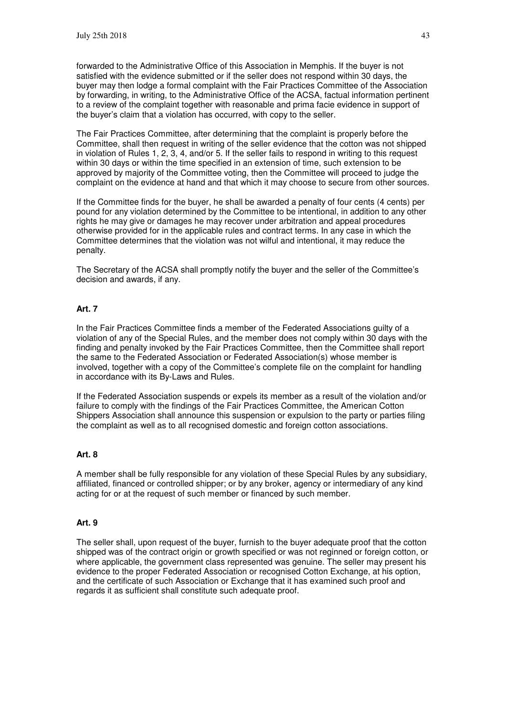forwarded to the Administrative Office of this Association in Memphis. If the buyer is not satisfied with the evidence submitted or if the seller does not respond within 30 days, the buyer may then lodge a formal complaint with the Fair Practices Committee of the Association by forwarding, in writing, to the Administrative Office of the ACSA, factual information pertinent to a review of the complaint together with reasonable and prima facie evidence in support of the buyer's claim that a violation has occurred, with copy to the seller.

The Fair Practices Committee, after determining that the complaint is properly before the Committee, shall then request in writing of the seller evidence that the cotton was not shipped in violation of Rules 1, 2, 3, 4, and/or 5. If the seller fails to respond in writing to this request within 30 days or within the time specified in an extension of time, such extension to be approved by majority of the Committee voting, then the Committee will proceed to judge the complaint on the evidence at hand and that which it may choose to secure from other sources.

If the Committee finds for the buyer, he shall be awarded a penalty of four cents (4 cents) per pound for any violation determined by the Committee to be intentional, in addition to any other rights he may give or damages he may recover under arbitration and appeal procedures otherwise provided for in the applicable rules and contract terms. In any case in which the Committee determines that the violation was not wilful and intentional, it may reduce the penalty.

The Secretary of the ACSA shall promptly notify the buyer and the seller of the Committee's decision and awards, if any.

#### **Art. 7**

In the Fair Practices Committee finds a member of the Federated Associations guilty of a violation of any of the Special Rules, and the member does not comply within 30 days with the finding and penalty invoked by the Fair Practices Committee, then the Committee shall report the same to the Federated Association or Federated Association(s) whose member is involved, together with a copy of the Committee's complete file on the complaint for handling in accordance with its By-Laws and Rules.

If the Federated Association suspends or expels its member as a result of the violation and/or failure to comply with the findings of the Fair Practices Committee, the American Cotton Shippers Association shall announce this suspension or expulsion to the party or parties filing the complaint as well as to all recognised domestic and foreign cotton associations.

#### **Art. 8**

A member shall be fully responsible for any violation of these Special Rules by any subsidiary, affiliated, financed or controlled shipper; or by any broker, agency or intermediary of any kind acting for or at the request of such member or financed by such member.

#### **Art. 9**

The seller shall, upon request of the buyer, furnish to the buyer adequate proof that the cotton shipped was of the contract origin or growth specified or was not reginned or foreign cotton, or where applicable, the government class represented was genuine. The seller may present his evidence to the proper Federated Association or recognised Cotton Exchange, at his option, and the certificate of such Association or Exchange that it has examined such proof and regards it as sufficient shall constitute such adequate proof.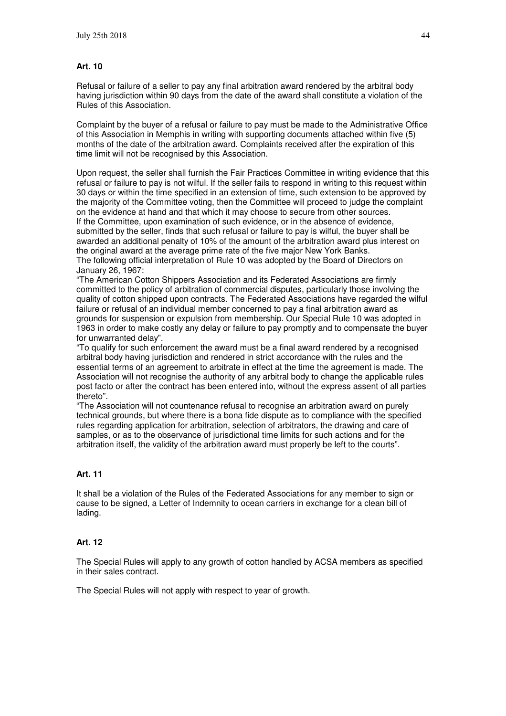#### **Art. 10**

Refusal or failure of a seller to pay any final arbitration award rendered by the arbitral body having jurisdiction within 90 days from the date of the award shall constitute a violation of the Rules of this Association.

Complaint by the buyer of a refusal or failure to pay must be made to the Administrative Office of this Association in Memphis in writing with supporting documents attached within five (5) months of the date of the arbitration award. Complaints received after the expiration of this time limit will not be recognised by this Association.

Upon request, the seller shall furnish the Fair Practices Committee in writing evidence that this refusal or failure to pay is not wilful. If the seller fails to respond in writing to this request within 30 days or within the time specified in an extension of time, such extension to be approved by the majority of the Committee voting, then the Committee will proceed to judge the complaint on the evidence at hand and that which it may choose to secure from other sources. If the Committee, upon examination of such evidence, or in the absence of evidence, submitted by the seller, finds that such refusal or failure to pay is wilful, the buyer shall be awarded an additional penalty of 10% of the amount of the arbitration award plus interest on the original award at the average prime rate of the five major New York Banks. The following official interpretation of Rule 10 was adopted by the Board of Directors on January 26, 1967:

"The American Cotton Shippers Association and its Federated Associations are firmly committed to the policy of arbitration of commercial disputes, particularly those involving the quality of cotton shipped upon contracts. The Federated Associations have regarded the wilful failure or refusal of an individual member concerned to pay a final arbitration award as grounds for suspension or expulsion from membership. Our Special Rule 10 was adopted in 1963 in order to make costly any delay or failure to pay promptly and to compensate the buyer for unwarranted delay".

"To qualify for such enforcement the award must be a final award rendered by a recognised arbitral body having jurisdiction and rendered in strict accordance with the rules and the essential terms of an agreement to arbitrate in effect at the time the agreement is made. The Association will not recognise the authority of any arbitral body to change the applicable rules post facto or after the contract has been entered into, without the express assent of all parties thereto".

"The Association will not countenance refusal to recognise an arbitration award on purely technical grounds, but where there is a bona fide dispute as to compliance with the specified rules regarding application for arbitration, selection of arbitrators, the drawing and care of samples, or as to the observance of jurisdictional time limits for such actions and for the arbitration itself, the validity of the arbitration award must properly be left to the courts".

#### **Art. 11**

It shall be a violation of the Rules of the Federated Associations for any member to sign or cause to be signed, a Letter of Indemnity to ocean carriers in exchange for a clean bill of lading.

#### **Art. 12**

The Special Rules will apply to any growth of cotton handled by ACSA members as specified in their sales contract.

The Special Rules will not apply with respect to year of growth.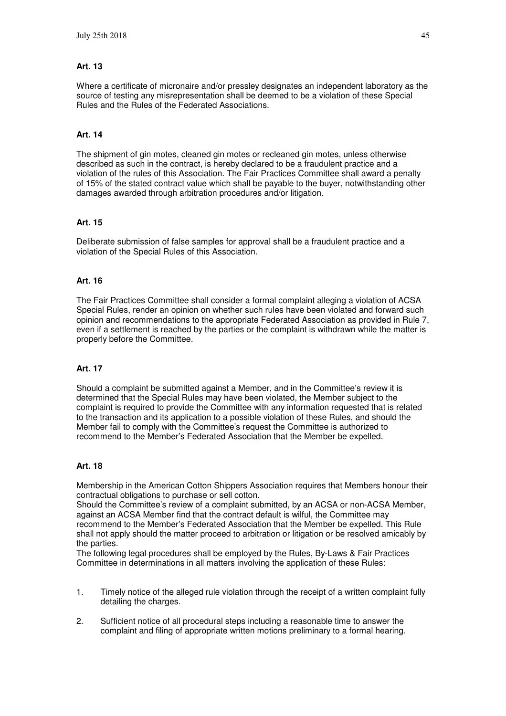#### **Art. 13**

Where a certificate of micronaire and/or pressley designates an independent laboratory as the source of testing any misrepresentation shall be deemed to be a violation of these Special Rules and the Rules of the Federated Associations.

#### **Art. 14**

The shipment of gin motes, cleaned gin motes or recleaned gin motes, unless otherwise described as such in the contract, is hereby declared to be a fraudulent practice and a violation of the rules of this Association. The Fair Practices Committee shall award a penalty of 15% of the stated contract value which shall be payable to the buyer, notwithstanding other damages awarded through arbitration procedures and/or litigation.

#### **Art. 15**

Deliberate submission of false samples for approval shall be a fraudulent practice and a violation of the Special Rules of this Association.

#### **Art. 16**

The Fair Practices Committee shall consider a formal complaint alleging a violation of ACSA Special Rules, render an opinion on whether such rules have been violated and forward such opinion and recommendations to the appropriate Federated Association as provided in Rule 7, even if a settlement is reached by the parties or the complaint is withdrawn while the matter is properly before the Committee.

#### **Art. 17**

Should a complaint be submitted against a Member, and in the Committee's review it is determined that the Special Rules may have been violated, the Member subject to the complaint is required to provide the Committee with any information requested that is related to the transaction and its application to a possible violation of these Rules, and should the Member fail to comply with the Committee's request the Committee is authorized to recommend to the Member's Federated Association that the Member be expelled.

#### **Art. 18**

Membership in the American Cotton Shippers Association requires that Members honour their contractual obligations to purchase or sell cotton.

Should the Committee's review of a complaint submitted, by an ACSA or non-ACSA Member, against an ACSA Member find that the contract default is wilful, the Committee may recommend to the Member's Federated Association that the Member be expelled. This Rule shall not apply should the matter proceed to arbitration or litigation or be resolved amicably by the parties.

The following legal procedures shall be employed by the Rules, By-Laws & Fair Practices Committee in determinations in all matters involving the application of these Rules:

- 1. Timely notice of the alleged rule violation through the receipt of a written complaint fully detailing the charges.
- 2. Sufficient notice of all procedural steps including a reasonable time to answer the complaint and filing of appropriate written motions preliminary to a formal hearing.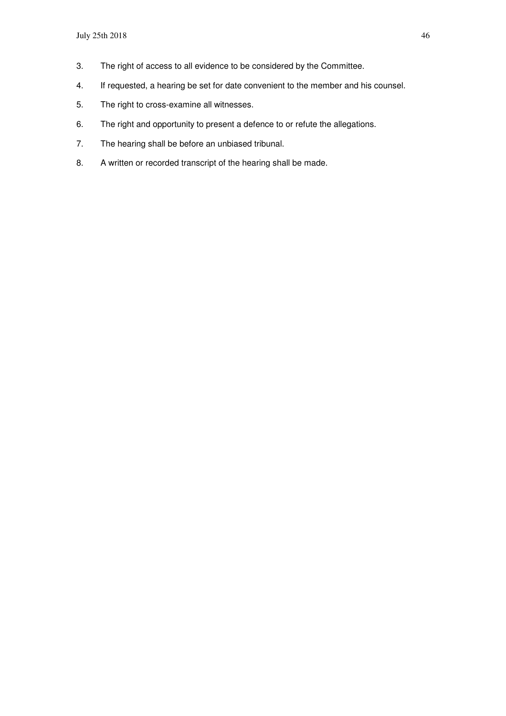- 3. The right of access to all evidence to be considered by the Committee.
- 4. If requested, a hearing be set for date convenient to the member and his counsel.
- 5. The right to cross-examine all witnesses.
- 6. The right and opportunity to present a defence to or refute the allegations.
- 7. The hearing shall be before an unbiased tribunal.
- 8. A written or recorded transcript of the hearing shall be made.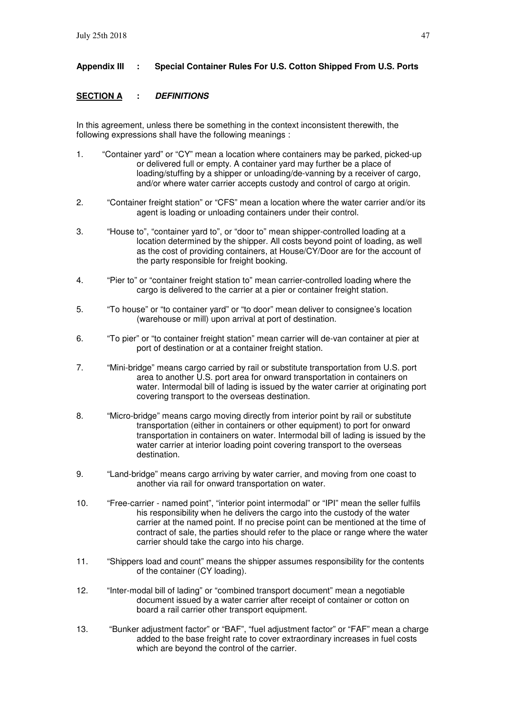### **Appendix III : Special Container Rules For U.S. Cotton Shipped From U.S. Ports**

### **SECTION A : DEFINITIONS**

In this agreement, unless there be something in the context inconsistent therewith, the following expressions shall have the following meanings :

- 1. "Container yard" or "CY" mean a location where containers may be parked, picked-up or delivered full or empty. A container yard may further be a place of loading/stuffing by a shipper or unloading/de-vanning by a receiver of cargo, and/or where water carrier accepts custody and control of cargo at origin.
- 2. "Container freight station" or "CFS" mean a location where the water carrier and/or its agent is loading or unloading containers under their control.
- 3. "House to", "container yard to", or "door to" mean shipper-controlled loading at a location determined by the shipper. All costs beyond point of loading, as well as the cost of providing containers, at House/CY/Door are for the account of the party responsible for freight booking.
- 4. "Pier to" or "container freight station to" mean carrier-controlled loading where the cargo is delivered to the carrier at a pier or container freight station.
- 5. "To house" or "to container yard" or "to door" mean deliver to consignee's location (warehouse or mill) upon arrival at port of destination.
- 6. "To pier" or "to container freight station" mean carrier will de-van container at pier at port of destination or at a container freight station.
- 7. "Mini-bridge" means cargo carried by rail or substitute transportation from U.S. port area to another U.S. port area for onward transportation in containers on water. Intermodal bill of lading is issued by the water carrier at originating port covering transport to the overseas destination.
- 8. "Micro-bridge" means cargo moving directly from interior point by rail or substitute transportation (either in containers or other equipment) to port for onward transportation in containers on water. Intermodal bill of lading is issued by the water carrier at interior loading point covering transport to the overseas destination.
- 9. "Land-bridge" means cargo arriving by water carrier, and moving from one coast to another via rail for onward transportation on water.
- 10. "Free-carrier named point", "interior point intermodal" or "IPI" mean the seller fulfils his responsibility when he delivers the cargo into the custody of the water carrier at the named point. If no precise point can be mentioned at the time of contract of sale, the parties should refer to the place or range where the water carrier should take the cargo into his charge.
- 11. "Shippers load and count" means the shipper assumes responsibility for the contents of the container (CY loading).
- 12. "Inter-modal bill of lading" or "combined transport document" mean a negotiable document issued by a water carrier after receipt of container or cotton on board a rail carrier other transport equipment.
- 13. "Bunker adjustment factor" or "BAF", "fuel adjustment factor" or "FAF" mean a charge added to the base freight rate to cover extraordinary increases in fuel costs which are beyond the control of the carrier.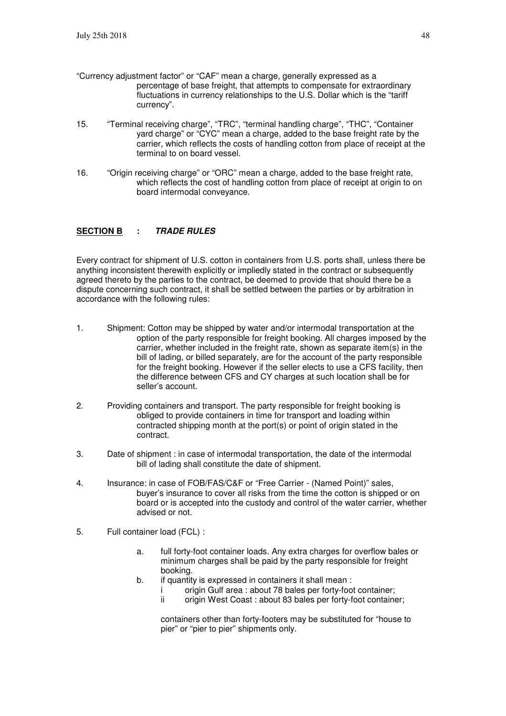- "Currency adjustment factor" or "CAF" mean a charge, generally expressed as a percentage of base freight, that attempts to compensate for extraordinary fluctuations in currency relationships to the U.S. Dollar which is the "tariff currency".
- 15. "Terminal receiving charge", "TRC", "terminal handling charge", "THC", "Container yard charge" or "CYC" mean a charge, added to the base freight rate by the carrier, which reflects the costs of handling cotton from place of receipt at the terminal to on board vessel.
- 16. "Origin receiving charge" or "ORC" mean a charge, added to the base freight rate, which reflects the cost of handling cotton from place of receipt at origin to on board intermodal conveyance.

#### **SECTION B : TRADE RULES**

Every contract for shipment of U.S. cotton in containers from U.S. ports shall, unless there be anything inconsistent therewith explicitly or impliedly stated in the contract or subsequently agreed thereto by the parties to the contract, be deemed to provide that should there be a dispute concerning such contract, it shall be settled between the parties or by arbitration in accordance with the following rules:

- 1. Shipment: Cotton may be shipped by water and/or intermodal transportation at the option of the party responsible for freight booking. All charges imposed by the carrier, whether included in the freight rate, shown as separate item(s) in the bill of lading, or billed separately, are for the account of the party responsible for the freight booking. However if the seller elects to use a CFS facility, then the difference between CFS and CY charges at such location shall be for seller's account.
- 2. Providing containers and transport. The party responsible for freight booking is obliged to provide containers in time for transport and loading within contracted shipping month at the port(s) or point of origin stated in the contract.
- 3. Date of shipment : in case of intermodal transportation, the date of the intermodal bill of lading shall constitute the date of shipment.
- 4. Insurance: in case of FOB/FAS/C&F or "Free Carrier (Named Point)" sales, buyer's insurance to cover all risks from the time the cotton is shipped or on board or is accepted into the custody and control of the water carrier, whether advised or not.
- 5. Full container load (FCL) :
	- a. full forty-foot container loads. Any extra charges for overflow bales or minimum charges shall be paid by the party responsible for freight booking.
	- b. if quantity is expressed in containers it shall mean :
		- i origin Gulf area : about 78 bales per forty-foot container;<br>ii origin West Coast : about 83 bales per forty-foot containe
		- origin West Coast : about 83 bales per forty-foot container;

 containers other than forty-footers may be substituted for "house to pier" or "pier to pier" shipments only.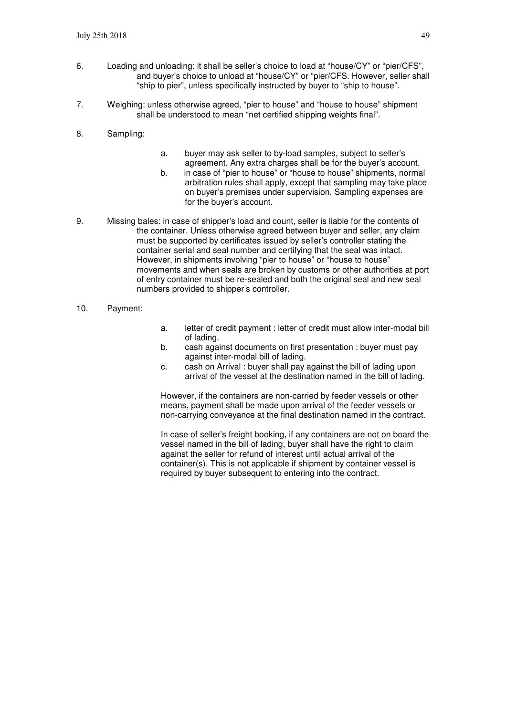- 6. Loading and unloading: it shall be seller's choice to load at "house/CY" or "pier/CFS", and buyer's choice to unload at "house/CY" or "pier/CFS. However, seller shall "ship to pier", unless specifically instructed by buyer to "ship to house".
- 7. Weighing: unless otherwise agreed, "pier to house" and "house to house" shipment shall be understood to mean "net certified shipping weights final".
- 8. Sampling:
- a. buyer may ask seller to by-load samples, subject to seller's agreement. Any extra charges shall be for the buyer's account.
- b. in case of "pier to house" or "house to house" shipments, normal arbitration rules shall apply, except that sampling may take place on buyer's premises under supervision. Sampling expenses are for the buyer's account.
- 9. Missing bales: in case of shipper's load and count, seller is liable for the contents of the container. Unless otherwise agreed between buyer and seller, any claim must be supported by certificates issued by seller's controller stating the container serial and seal number and certifying that the seal was intact. However, in shipments involving "pier to house" or "house to house" movements and when seals are broken by customs or other authorities at port of entry container must be re-sealed and both the original seal and new seal numbers provided to shipper's controller.
- 10. Payment:
- a. letter of credit payment : letter of credit must allow inter-modal bill of lading.
- b. cash against documents on first presentation : buyer must pay against inter-modal bill of lading.
- c. cash on Arrival : buyer shall pay against the bill of lading upon arrival of the vessel at the destination named in the bill of lading.

However, if the containers are non-carried by feeder vessels or other means, payment shall be made upon arrival of the feeder vessels or non-carrying conveyance at the final destination named in the contract.

In case of seller's freight booking, if any containers are not on board the vessel named in the bill of lading, buyer shall have the right to claim against the seller for refund of interest until actual arrival of the container(s). This is not applicable if shipment by container vessel is required by buyer subsequent to entering into the contract.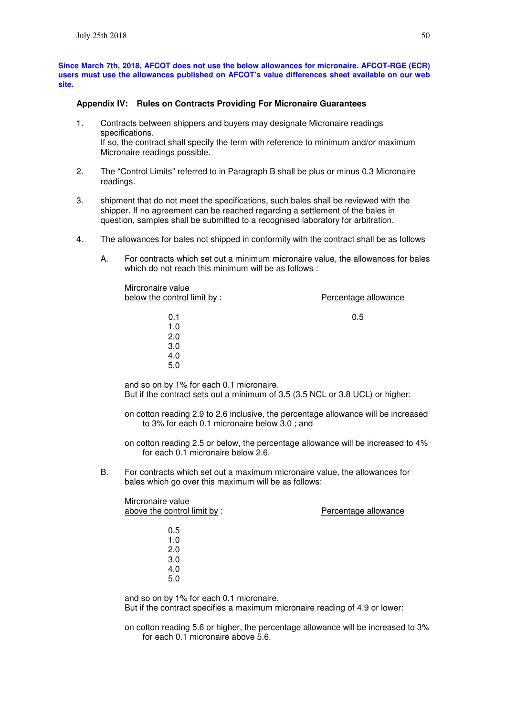**Since March 7th, 2018, AFCOT does not use the below allowances for micronaire. AFCOT-RGE (ECR) users must use the allowances published on AFCOT's value differences sheet available on our web site.** 

#### **Appendix IV: Rules on Contracts Providing For Micronaire Guarantees**

- 1. Contracts between shippers and buyers may designate Micronaire readings specifications. If so, the contract shall specify the term with reference to minimum and/or maximum Micronaire readings possible.
- 2. The "Control Limits" referred to in Paragraph B shall be plus or minus 0.3 Micronaire readings.
- 3. shipment that do not meet the specifications, such bales shall be reviewed with the shipper. If no agreement can be reached regarding a settlement of the bales in question, samples shall be submitted to a recognised laboratory for arbitration.
- 4. The allowances for bales not shipped in conformity with the contract shall be as follows
	- A. For contracts which set out a minimum micronaire value, the allowances for bales which do not reach this minimum will be as follows :

| Mircronaire value<br>below the control limit by: | Percentage allowance |
|--------------------------------------------------|----------------------|
| 0.1                                              | 0.5                  |
| 1.0                                              |                      |
| 2.0                                              |                      |
| 3.0                                              |                      |
| 4.0                                              |                      |
| 5.0                                              |                      |
|                                                  |                      |

and so on by 1% for each 0.1 micronaire. But if the contract sets out a minimum of 3.5 (3.5 NCL or 3.8 UCL) or higher:

on cotton reading 2.9 to 2.6 inclusive, the percentage allowance will be increased to 3% for each 0.1 micronaire below 3.0 ; and

on cotton reading 2.5 or below, the percentage allowance will be increased to 4% for each 0.1 micronaire below 2.6.

B. For contracts which set out a maximum micronaire value, the allowances for bales which go over this maximum will be as follows:

| Mircronaire value<br>above the control limit by: | Percentage allowance |
|--------------------------------------------------|----------------------|
| 0.5                                              |                      |
| 1.0                                              |                      |
| 2.0                                              |                      |
| 3.0                                              |                      |
| 4.0                                              |                      |
| 5.0                                              |                      |
|                                                  |                      |

and so on by 1% for each 0.1 micronaire. But if the contract specifies a maximum micronaire reading of 4.9 or lower:

on cotton reading 5.6 or higher, the percentage allowance will be increased to 3% for each 0.1 micronaire above 5.6.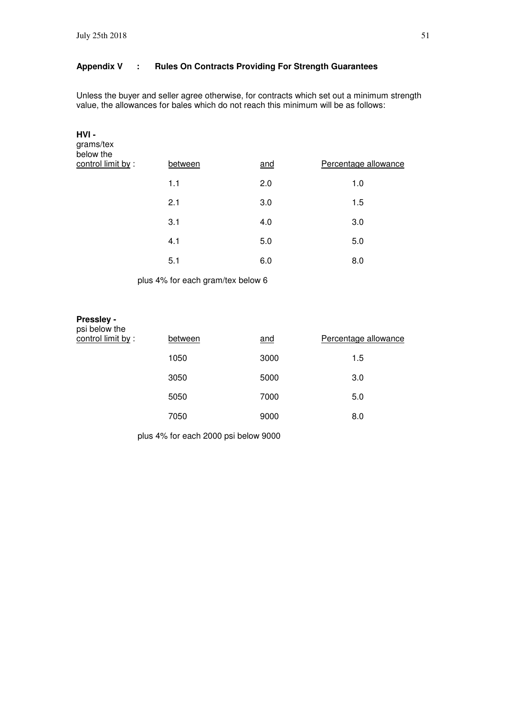### **Appendix V : Rules On Contracts Providing For Strength Guarantees**

Unless the buyer and seller agree otherwise, for contracts which set out a minimum strength value, the allowances for bales which do not reach this minimum will be as follows:

| HVI-<br>grams/tex<br>below the |         |     |                      |
|--------------------------------|---------|-----|----------------------|
| control limit by:              | between | and | Percentage allowance |
|                                | 1.1     | 2.0 | 1.0                  |
|                                | 2.1     | 3.0 | 1.5                  |
|                                | 3.1     | 4.0 | 3.0                  |
|                                | 4.1     | 5.0 | 5.0                  |
|                                | 5.1     | 6.0 | 8.0                  |

plus 4% for each gram/tex below 6

#### **Pressley**  psi below the

| <b>D</b> PI DEIOM THE<br>control limit by : | between | and  | Percentage allowance |
|---------------------------------------------|---------|------|----------------------|
|                                             | 1050    | 3000 | 1.5                  |
|                                             | 3050    | 5000 | 3.0                  |
|                                             | 5050    | 7000 | 5.0                  |
|                                             | 7050    | 9000 | 8.0                  |

plus 4% for each 2000 psi below 9000